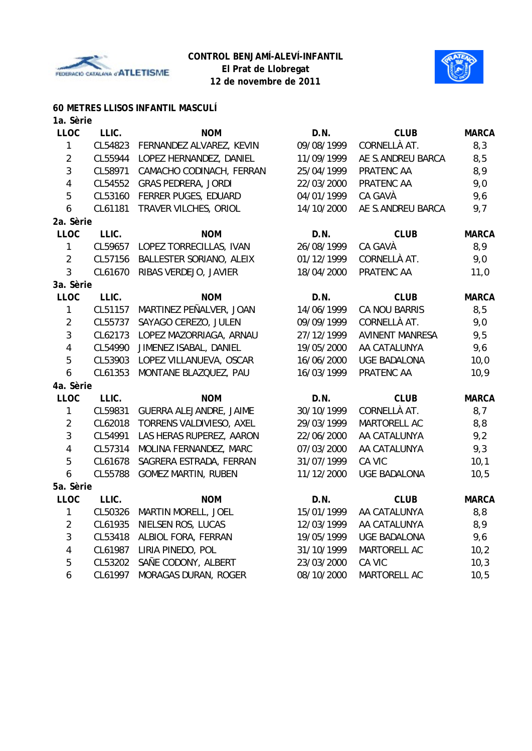



### **60 METRES LLISOS INFANTIL MASCULÍ**

| 1a. Sèrie      |         |                            |            |                        |              |
|----------------|---------|----------------------------|------------|------------------------|--------------|
| <b>LLOC</b>    | LLIC.   | <b>NOM</b>                 | D.N.       | <b>CLUB</b>            | <b>MARCA</b> |
| 1              | CL54823 | FERNANDEZ ALVAREZ, KEVIN   | 09/08/1999 | CORNELLÀ AT.           | 8,3          |
| $\overline{2}$ | CL55944 | LOPEZ HERNANDEZ, DANIEL    | 11/09/1999 | AE S.ANDREU BARCA      | 8,5          |
| 3              | CL58971 | CAMACHO CODINACH, FERRAN   | 25/04/1999 | PRATENC AA             | 8,9          |
| $\overline{4}$ | CL54552 | <b>GRAS PEDRERA, JORDI</b> | 22/03/2000 | PRATENC AA             | 9,0          |
| 5              | CL53160 | FERRER PUGES, EDUARD       | 04/01/1999 | CA GAVÀ                | 9,6          |
| 6              | CL61181 | TRAVER VILCHES, ORIOL      | 14/10/2000 | AE S.ANDREU BARCA      | 9,7          |
| 2a. Sèrie      |         |                            |            |                        |              |
| <b>LLOC</b>    | LLIC.   | <b>NOM</b>                 | D.N.       | <b>CLUB</b>            | <b>MARCA</b> |
| $\mathbf{1}$   | CL59657 | LOPEZ TORRECILLAS, IVAN    | 26/08/1999 | CA GAVÀ                | 8,9          |
| $\overline{2}$ | CL57156 | BALLESTER SORIANO, ALEIX   | 01/12/1999 | CORNELLÀ AT.           | 9,0          |
| 3              | CL61670 | RIBAS VERDEJO, JAVIER      | 18/04/2000 | PRATENC AA             | 11,0         |
| 3a. Sèrie      |         |                            |            |                        |              |
| <b>LLOC</b>    | LLIC.   | <b>NOM</b>                 | D.N.       | <b>CLUB</b>            | <b>MARCA</b> |
| $\mathbf{1}$   | CL51157 | MARTINEZ PEÑALVER, JOAN    | 14/06/1999 | CA NOU BARRIS          | 8,5          |
| $\overline{2}$ | CL55737 | SAYAGO CEREZO, JULEN       | 09/09/1999 | CORNELLÀ AT.           | 9,0          |
| $\mathbf{3}$   | CL62173 | LOPEZ MAZORRIAGA, ARNAU    | 27/12/1999 | <b>AVINENT MANRESA</b> | 9,5          |
| $\overline{4}$ | CL54990 | JIMENEZ ISABAL, DANIEL     | 19/05/2000 | AA CATALUNYA           | 9,6          |
| 5              | CL53903 | LOPEZ VILLANUEVA, OSCAR    | 16/06/2000 | <b>UGE BADALONA</b>    | 10,0         |
| 6              | CL61353 | MONTANE BLAZQUEZ, PAU      | 16/03/1999 | PRATENC AA             | 10,9         |
| 4a. Sèrie      |         |                            |            |                        |              |
| <b>LLOC</b>    | LLIC.   | <b>NOM</b>                 | D.N.       | <b>CLUB</b>            | <b>MARCA</b> |
| 1              | CL59831 | GUERRA ALEJANDRE, JAIME    | 30/10/1999 | CORNELLÀ AT.           | 8,7          |
| $\overline{2}$ | CL62018 | TORRENS VALDIVIESO, AXEL   | 29/03/1999 | MARTORELL AC           | 8,8          |
| $\mathbf{3}$   | CL54991 | LAS HERAS RUPEREZ, AARON   | 22/06/2000 | AA CATALUNYA           | 9,2          |
| $\overline{4}$ | CL57314 | MOLINA FERNANDEZ, MARC     | 07/03/2000 | AA CATALUNYA           | 9,3          |
| 5              | CL61678 | SAGRERA ESTRADA, FERRAN    | 31/07/1999 | CA VIC                 | 10,1         |
| 6              | CL55788 | <b>GOMEZ MARTIN, RUBEN</b> | 11/12/2000 | <b>UGE BADALONA</b>    | 10,5         |
| 5a. Sèrie      |         |                            |            |                        |              |
| <b>LLOC</b>    | LLIC.   | <b>NOM</b>                 | D.N.       | <b>CLUB</b>            | <b>MARCA</b> |
| $\mathbf{1}$   | CL50326 | MARTIN MORELL, JOEL        | 15/01/1999 | AA CATALUNYA           | 8,8          |
| 2              | CL61935 | NIELSEN ROS, LUCAS         | 12/03/1999 | AA CATALUNYA           | 8,9          |
| 3              | CL53418 | ALBIOL FORA, FERRAN        | 19/05/1999 | <b>UGE BADALONA</b>    | 9,6          |
| 4              | CL61987 | LIRIA PINEDO, POL          | 31/10/1999 | MARTORELL AC           | 10,2         |
| 5              | CL53202 | SAÑE CODONY, ALBERT        | 23/03/2000 | CA VIC                 | 10,3         |
| 6              | CL61997 | MORAGAS DURAN, ROGER       | 08/10/2000 | MARTORELL AC           | 10,5         |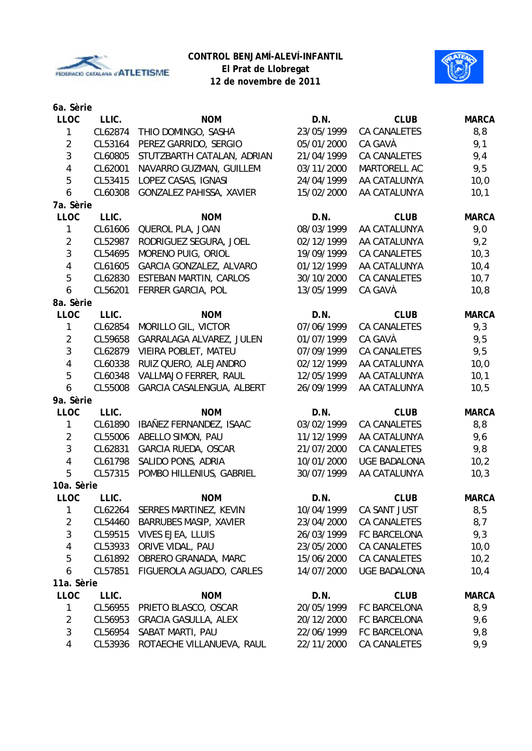

**12 de novembre de 2011**



| 6a. Sèrie               |         |                                |            |                     |              |
|-------------------------|---------|--------------------------------|------------|---------------------|--------------|
| <b>LLOC</b>             | LLIC.   | <b>NOM</b>                     | D.N.       | <b>CLUB</b>         | <b>MARCA</b> |
| 1                       | CL62874 | THIO DOMINGO, SASHA            | 23/05/1999 | <b>CA CANALETES</b> | 8,8          |
| $\overline{2}$          | CL53164 | PEREZ GARRIDO, SERGIO          | 05/01/2000 | CA GAVÀ             | 9,1          |
| $\mathbf{3}$            | CL60805 | STUTZBARTH CATALAN, ADRIAN     | 21/04/1999 | <b>CA CANALETES</b> | 9,4          |
| $\overline{4}$          | CL62001 | NAVARRO GUZMAN, GUILLEM        | 03/11/2000 | MARTORELL AC        | 9,5          |
| 5                       | CL53415 | LOPEZ CASAS, IGNASI            | 24/04/1999 | AA CATALUNYA        | 10,0         |
| 6                       | CL60308 | GONZALEZ PAHISSA, XAVIER       | 15/02/2000 | AA CATALUNYA        | 10,1         |
| 7a. Sèrie               |         |                                |            |                     |              |
| <b>LLOC</b>             | LLIC.   | <b>NOM</b>                     | D.N.       | <b>CLUB</b>         | <b>MARCA</b> |
| $\mathbf{1}$            | CL61606 | QUEROL PLA, JOAN               | 08/03/1999 | AA CATALUNYA        | 9,0          |
| $\sqrt{2}$              | CL52987 | RODRIGUEZ SEGURA, JOEL         | 02/12/1999 | AA CATALUNYA        | 9,2          |
| 3                       | CL54695 | MORENO PUIG, ORIOL             | 19/09/1999 | CA CANALETES        | 10,3         |
| $\overline{4}$          | CL61605 | GARCIA GONZALEZ, ALVARO        | 01/12/1999 | AA CATALUNYA        | 10,4         |
| 5                       | CL62830 | ESTEBAN MARTIN, CARLOS         | 30/10/2000 | <b>CA CANALETES</b> | 10,7         |
| $\boldsymbol{6}$        | CL56201 | FERRER GARCIA, POL             | 13/05/1999 | CA GAVÀ             | 10,8         |
| 8a. Sèrie               |         |                                |            |                     |              |
| <b>LLOC</b>             | LLIC.   | <b>NOM</b>                     | D.N.       | <b>CLUB</b>         | <b>MARCA</b> |
| $\mathbf{1}$            | CL62854 | MORILLO GIL, VICTOR            | 07/06/1999 | <b>CA CANALETES</b> | 9,3          |
| $\overline{2}$          | CL59658 | GARRALAGA ALVAREZ, JULEN       | 01/07/1999 | CA GAVÀ             | 9,5          |
| $\mathbf{3}$            | CL62879 | VIEIRA POBLET, MATEU           | 07/09/1999 | <b>CA CANALETES</b> | 9,5          |
| $\overline{4}$          | CL60338 | RUIZ QUERO, ALEJANDRO          | 02/12/1999 | AA CATALUNYA        | 10,0         |
| 5                       | CL60348 | VALLMAJO FERRER, RAUL          | 12/05/1999 | AA CATALUNYA        | 10,1         |
| 6                       | CL55008 | GARCIA CASALENGUA, ALBERT      | 26/09/1999 | AA CATALUNYA        | 10,5         |
| 9a. Sèrie               |         |                                |            |                     |              |
| <b>LLOC</b>             | LLIC.   | <b>NOM</b>                     | D.N.       | <b>CLUB</b>         | <b>MARCA</b> |
| $\mathbf{1}$            | CL61890 | IBAÑEZ FERNANDEZ, ISAAC        | 03/02/1999 | <b>CA CANALETES</b> | 8,8          |
| $\overline{c}$          | CL55006 | ABELLO SIMON, PAU              | 11/12/1999 | AA CATALUNYA        | 9,6          |
| $\mathbf{3}$            | CL62831 | GARCIA RUEDA, OSCAR            | 21/07/2000 | CA CANALETES        | 9,8          |
| $\overline{4}$          | CL61798 | SALIDO PONS, ADRIA             | 10/01/2000 | <b>UGE BADALONA</b> | 10,2         |
| 5                       | CL57315 | POMBO HILLENIUS, GABRIEL       | 30/07/1999 | AA CATALUNYA        | 10,3         |
| 10a. Sèrie              |         |                                |            |                     |              |
| LLOC                    | LLIC.   | <b>NOM</b>                     | D.N.       | <b>CLUB</b>         | <b>MARCA</b> |
| $\mathbf{1}$            |         | CL62264 SERRES MARTINEZ, KEVIN | 10/04/1999 | CA SANT JUST        | 8,5          |
| $\overline{c}$          | CL54460 | <b>BARRUBES MASIP, XAVIER</b>  | 23/04/2000 | CA CANALETES        | 8,7          |
| $\mathbf{3}$            | CL59515 | <b>VIVES EJEA, LLUIS</b>       | 26/03/1999 | FC BARCELONA        | 9,3          |
| $\overline{\mathbf{4}}$ | CL53933 | ORIVE VIDAL, PAU               | 23/05/2000 | CA CANALETES        | 10,0         |
| 5                       | CL61892 | OBRERO GRANADA, MARC           | 15/06/2000 | CA CANALETES        | 10,2         |
| 6                       | CL57851 | FIGUEROLA AGUADO, CARLES       | 14/07/2000 | <b>UGE BADALONA</b> | 10,4         |
| 11a. Sèrie              |         |                                |            |                     |              |
| <b>LLOC</b>             | LLIC.   | <b>NOM</b>                     | D.N.       | <b>CLUB</b>         | <b>MARCA</b> |
| 1                       | CL56955 | PRIETO BLASCO, OSCAR           | 20/05/1999 | FC BARCELONA        | 8,9          |
| $\overline{2}$          | CL56953 | <b>GRACIA GASULLA, ALEX</b>    | 20/12/2000 | FC BARCELONA        | 9,6          |
| 3                       | CL56954 | SABAT MARTI, PAU               | 22/06/1999 | FC BARCELONA        | 9,8          |
| $\overline{4}$          | CL53936 | ROTAECHE VILLANUEVA, RAUL      | 22/11/2000 | CA CANALETES        | 9,9          |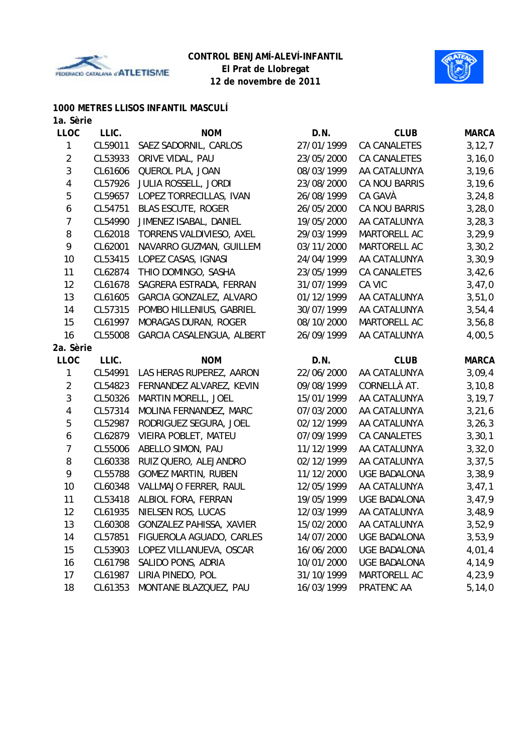



## **1000 METRES LLISOS INFANTIL MASCULÍ**

| 1a. Sèrie                |         |                            |            |                     |              |
|--------------------------|---------|----------------------------|------------|---------------------|--------------|
| <b>LLOC</b>              | LLIC.   | <b>NOM</b>                 | D.N.       | <b>CLUB</b>         | <b>MARCA</b> |
| 1                        | CL59011 | SAEZ SADORNIL, CARLOS      | 27/01/1999 | CA CANALETES        | 3, 12, 7     |
| $\overline{2}$           | CL53933 | ORIVE VIDAL, PAU           | 23/05/2000 | CA CANALETES        | 3, 16, 0     |
| 3                        | CL61606 | QUEROL PLA, JOAN           | 08/03/1999 | AA CATALUNYA        | 3, 19, 6     |
| $\overline{\mathcal{A}}$ | CL57926 | JULIA ROSSELL, JORDI       | 23/08/2000 | CA NOU BARRIS       | 3, 19, 6     |
| 5                        | CL59657 | LOPEZ TORRECILLAS, IVAN    | 26/08/1999 | CA GAVÀ             | 3, 24, 8     |
| 6                        | CL54751 | <b>BLAS ESCUTE, ROGER</b>  | 26/05/2000 | CA NOU BARRIS       | 3,28,0       |
| 7                        | CL54990 | JIMENEZ ISABAL, DANIEL     | 19/05/2000 | AA CATALUNYA        | 3, 28, 3     |
| $\, 8$                   | CL62018 | TORRENS VALDIVIESO, AXEL   | 29/03/1999 | MARTORELL AC        | 3, 29, 9     |
| 9                        | CL62001 | NAVARRO GUZMAN, GUILLEM    | 03/11/2000 | MARTORELL AC        | 3, 30, 2     |
| 10                       | CL53415 | LOPEZ CASAS, IGNASI        | 24/04/1999 | AA CATALUNYA        | 3,30,9       |
| 11                       | CL62874 | THIO DOMINGO, SASHA        | 23/05/1999 | CA CANALETES        | 3,42,6       |
| 12                       | CL61678 | SAGRERA ESTRADA, FERRAN    | 31/07/1999 | CA VIC              | 3,47,0       |
| 13                       | CL61605 | GARCIA GONZALEZ, ALVARO    | 01/12/1999 | AA CATALUNYA        | 3,51,0       |
| 14                       | CL57315 | POMBO HILLENIUS, GABRIEL   | 30/07/1999 | AA CATALUNYA        | 3,54,4       |
| 15                       | CL61997 | MORAGAS DURAN, ROGER       | 08/10/2000 | MARTORELL AC        | 3,56,8       |
| 16                       | CL55008 | GARCIA CASALENGUA, ALBERT  | 26/09/1999 | AA CATALUNYA        | 4,00,5       |
| 2a. Sèrie                |         |                            |            |                     |              |
|                          |         |                            |            |                     |              |
| <b>LLOC</b>              | LLIC.   | <b>NOM</b>                 | D.N.       | <b>CLUB</b>         | <b>MARCA</b> |
| 1                        | CL54991 | LAS HERAS RUPEREZ, AARON   | 22/06/2000 | AA CATALUNYA        | 3,09,4       |
| $\overline{2}$           | CL54823 | FERNANDEZ ALVAREZ, KEVIN   | 09/08/1999 | CORNELLÀ AT.        | 3, 10, 8     |
| $\sqrt{3}$               | CL50326 | MARTIN MORELL, JOEL        | 15/01/1999 | AA CATALUNYA        | 3, 19, 7     |
| 4                        | CL57314 | MOLINA FERNANDEZ, MARC     | 07/03/2000 | AA CATALUNYA        | 3, 21, 6     |
| 5                        | CL52987 | RODRIGUEZ SEGURA, JOEL     | 02/12/1999 | AA CATALUNYA        | 3, 26, 3     |
| 6                        | CL62879 | VIEIRA POBLET, MATEU       | 07/09/1999 | CA CANALETES        | 3, 30, 1     |
| $\overline{7}$           | CL55006 | ABELLO SIMON, PAU          | 11/12/1999 | AA CATALUNYA        | 3,32,0       |
| 8                        | CL60338 | RUIZ QUERO, ALEJANDRO      | 02/12/1999 | AA CATALUNYA        | 3, 37, 5     |
| 9                        | CL55788 | <b>GOMEZ MARTIN, RUBEN</b> | 11/12/2000 | <b>UGE BADALONA</b> | 3,38,9       |
| 10                       | CL60348 | VALLMAJO FERRER, RAUL      | 12/05/1999 | AA CATALUNYA        | 3,47,1       |
| 11                       | CL53418 | ALBIOL FORA, FERRAN        | 19/05/1999 | <b>UGE BADALONA</b> | 3,47,9       |
| 12                       |         | CL61935 NIELSEN ROS, LUCAS | 12/03/1999 | AA CATALUNYA        | 3,48,9       |
| 13                       | CL60308 | GONZALEZ PAHISSA, XAVIER   | 15/02/2000 | AA CATALUNYA        | 3,52,9       |
| 14                       | CL57851 | FIGUEROLA AGUADO, CARLES   | 14/07/2000 | <b>UGE BADALONA</b> | 3,53,9       |
| 15                       | CL53903 | LOPEZ VILLANUEVA, OSCAR    | 16/06/2000 | <b>UGE BADALONA</b> | 4,01,4       |
| 16                       | CL61798 | SALIDO PONS, ADRIA         | 10/01/2000 | <b>UGE BADALONA</b> | 4,14,9       |
| 17                       | CL61987 | LIRIA PINEDO, POL          | 31/10/1999 | MARTORELL AC        | 4,23,9       |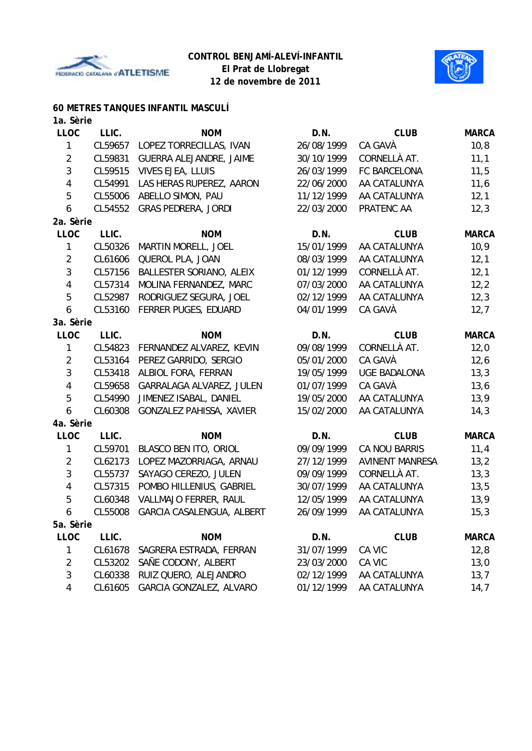



## **60 METRES TANQUES INFANTIL MASCULÍ**

| 1a. Sèrie      |         |                            |            |                        |              |
|----------------|---------|----------------------------|------------|------------------------|--------------|
| <b>LLOC</b>    | LLIC.   | <b>NOM</b>                 | D.N.       | <b>CLUB</b>            | <b>MARCA</b> |
| 1              | CL59657 | LOPEZ TORRECILLAS, IVAN    | 26/08/1999 | CA GAVÀ                | 10, 8        |
| $\overline{2}$ | CL59831 | GUERRA ALEJANDRE, JAIME    | 30/10/1999 | CORNELLÀ AT.           | 11,1         |
| 3              | CL59515 | VIVES EJEA, LLUIS          | 26/03/1999 | FC BARCELONA           | 11,5         |
| $\overline{4}$ | CL54991 | LAS HERAS RUPEREZ, AARON   | 22/06/2000 | AA CATALUNYA           | 11,6         |
| 5              | CL55006 | ABELLO SIMON, PAU          | 11/12/1999 | AA CATALUNYA           | 12,1         |
| 6              | CL54552 | <b>GRAS PEDRERA, JORDI</b> | 22/03/2000 | PRATENC AA             | 12,3         |
| 2a. Sèrie      |         |                            |            |                        |              |
| <b>LLOC</b>    | LLIC.   | <b>NOM</b>                 | D.N.       | <b>CLUB</b>            | <b>MARCA</b> |
| 1              | CL50326 | MARTIN MORELL, JOEL        | 15/01/1999 | AA CATALUNYA           | 10,9         |
| $\overline{2}$ | CL61606 | QUEROL PLA, JOAN           | 08/03/1999 | AA CATALUNYA           | 12,1         |
| 3              | CL57156 | BALLESTER SORIANO, ALEIX   | 01/12/1999 | CORNELLÀ AT.           | 12,1         |
| $\overline{4}$ | CL57314 | MOLINA FERNANDEZ, MARC     | 07/03/2000 | AA CATALUNYA           | 12,2         |
| 5              | CL52987 | RODRIGUEZ SEGURA, JOEL     | 02/12/1999 | AA CATALUNYA           | 12,3         |
| 6              | CL53160 | FERRER PUGES, EDUARD       | 04/01/1999 | CA GAVÀ                | 12,7         |
| 3a. Sèrie      |         |                            |            |                        |              |
| <b>LLOC</b>    | LLIC.   | <b>NOM</b>                 | D.N.       | <b>CLUB</b>            | <b>MARCA</b> |
| 1              | CL54823 | FERNANDEZ ALVAREZ, KEVIN   | 09/08/1999 | CORNELLÀ AT.           | 12,0         |
| $\overline{2}$ | CL53164 | PEREZ GARRIDO, SERGIO      | 05/01/2000 | CA GAVÀ                | 12,6         |
| 3              | CL53418 | ALBIOL FORA, FERRAN        | 19/05/1999 | <b>UGE BADALONA</b>    | 13,3         |
| $\overline{4}$ | CL59658 | GARRALAGA ALVAREZ, JULEN   | 01/07/1999 | CA GAVÀ                | 13,6         |
| 5              | CL54990 | JIMENEZ ISABAL, DANIEL     | 19/05/2000 | AA CATALUNYA           | 13,9         |
| 6              | CL60308 | GONZALEZ PAHISSA, XAVIER   | 15/02/2000 | AA CATALUNYA           | 14,3         |
| 4a. Sèrie      |         |                            |            |                        |              |
| <b>LLOC</b>    | LLIC.   | <b>NOM</b>                 | D.N.       | <b>CLUB</b>            | <b>MARCA</b> |
| 1              | CL59701 | BLASCO BEN ITO, ORIOL      | 09/09/1999 | CA NOU BARRIS          | 11,4         |
| $\overline{2}$ | CL62173 | LOPEZ MAZORRIAGA, ARNAU    | 27/12/1999 | <b>AVINENT MANRESA</b> | 13,2         |
| 3              | CL55737 | SAYAGO CEREZO, JULEN       | 09/09/1999 | CORNELLÀ AT.           | 13,3         |
| 4              | CL57315 | POMBO HILLENIUS, GABRIEL   | 30/07/1999 | AA CATALUNYA           | 13,5         |
| 5              | CL60348 | VALLMAJO FERRER, RAUL      | 12/05/1999 | AA CATALUNYA           | 13,9         |
| 6              | CL55008 | GARCIA CASALENGUA, ALBERT  | 26/09/1999 | AA CATALUNYA           | 15,3         |
| 5a. Sèrie      |         |                            |            |                        |              |
| <b>LLOC</b>    | LLIC.   | <b>NOM</b>                 | D.N.       | <b>CLUB</b>            | <b>MARCA</b> |
| 1              | CL61678 | SAGRERA ESTRADA, FERRAN    | 31/07/1999 | CA VIC                 | 12,8         |
| $\overline{2}$ | CL53202 | SAÑE CODONY, ALBERT        | 23/03/2000 | CA VIC                 | 13,0         |
| 3              | CL60338 | RUIZ QUERO, ALEJANDRO      | 02/12/1999 | AA CATALUNYA           | 13,7         |
| 4              | CL61605 | GARCIA GONZALEZ, ALVARO    | 01/12/1999 | AA CATALUNYA           | 14,7         |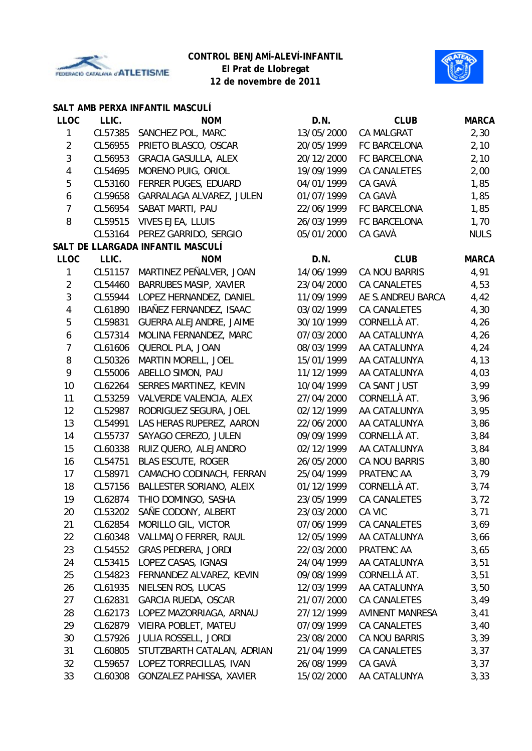



### **SALT AMB PERXA INFANTIL MASCULÍ**

| <b>LLOC</b>    | LLIC.   | <b>NOM</b>                        | D.N.       | <b>CLUB</b>            | <b>MARCA</b> |
|----------------|---------|-----------------------------------|------------|------------------------|--------------|
| 1              | CL57385 | SANCHEZ POL, MARC                 | 13/05/2000 | <b>CA MALGRAT</b>      | 2,30         |
| $\overline{2}$ | CL56955 | PRIETO BLASCO, OSCAR              | 20/05/1999 | FC BARCELONA           | 2,10         |
| 3              | CL56953 | <b>GRACIA GASULLA, ALEX</b>       | 20/12/2000 | FC BARCELONA           | 2,10         |
| $\overline{4}$ | CL54695 | MORENO PUIG, ORIOL                | 19/09/1999 | CA CANALETES           | 2,00         |
| 5              | CL53160 | FERRER PUGES, EDUARD              | 04/01/1999 | CA GAVÀ                | 1,85         |
| 6              | CL59658 | GARRALAGA ALVAREZ, JULEN          | 01/07/1999 | CA GAVÀ                | 1,85         |
| 7              | CL56954 | SABAT MARTI, PAU                  | 22/06/1999 | FC BARCELONA           | 1,85         |
| 8              | CL59515 | VIVES EJEA, LLUIS                 | 26/03/1999 | FC BARCELONA           | 1,70         |
|                | CL53164 | PEREZ GARRIDO, SERGIO             | 05/01/2000 | CA GAVÀ                | <b>NULS</b>  |
|                |         | SALT DE LLARGADA INFANTIL MASCULÍ |            |                        |              |
| <b>LLOC</b>    | LLIC.   | <b>NOM</b>                        | D.N.       | <b>CLUB</b>            | <b>MARCA</b> |
| 1              | CL51157 | MARTINEZ PEÑALVER, JOAN           | 14/06/1999 | CA NOU BARRIS          | 4,91         |
| $\overline{2}$ | CL54460 | BARRUBES MASIP, XAVIER            | 23/04/2000 | CA CANALETES           | 4,53         |
| 3              | CL55944 | LOPEZ HERNANDEZ, DANIEL           | 11/09/1999 | AE S.ANDREU BARCA      | 4,42         |
| $\overline{4}$ | CL61890 | IBAÑEZ FERNANDEZ, ISAAC           | 03/02/1999 | <b>CA CANALETES</b>    | 4,30         |
| 5              | CL59831 | GUERRA ALEJANDRE, JAIME           | 30/10/1999 | CORNELLÀ AT.           | 4,26         |
| 6              | CL57314 | MOLINA FERNANDEZ, MARC            | 07/03/2000 | AA CATALUNYA           | 4,26         |
| 7              | CL61606 | QUEROL PLA, JOAN                  | 08/03/1999 | AA CATALUNYA           | 4,24         |
| 8              | CL50326 | MARTIN MORELL, JOEL               | 15/01/1999 | AA CATALUNYA           | 4,13         |
| 9              | CL55006 | ABELLO SIMON, PAU                 | 11/12/1999 | AA CATALUNYA           | 4,03         |
| 10             | CL62264 | SERRES MARTINEZ, KEVIN            | 10/04/1999 | CA SANT JUST           | 3,99         |
| 11             | CL53259 | VALVERDE VALENCIA, ALEX           | 27/04/2000 | CORNELLÀ AT.           | 3,96         |
| 12             | CL52987 | RODRIGUEZ SEGURA, JOEL            | 02/12/1999 | AA CATALUNYA           | 3,95         |
| 13             | CL54991 | LAS HERAS RUPEREZ, AARON          | 22/06/2000 | AA CATALUNYA           | 3,86         |
| 14             | CL55737 | SAYAGO CEREZO, JULEN              | 09/09/1999 | CORNELLÀ AT.           | 3,84         |
| 15             | CL60338 | RUIZ QUERO, ALEJANDRO             | 02/12/1999 | AA CATALUNYA           | 3,84         |
| 16             | CL54751 | <b>BLAS ESCUTE, ROGER</b>         | 26/05/2000 | CA NOU BARRIS          | 3,80         |
| 17             | CL58971 | CAMACHO CODINACH, FERRAN          | 25/04/1999 | PRATENC AA             | 3,79         |
| 18             | CL57156 | BALLESTER SORIANO, ALEIX          | 01/12/1999 | CORNELLÀ AT.           | 3,74         |
| 19             | CL62874 | THIO DOMINGO, SASHA               | 23/05/1999 | <b>CA CANALETES</b>    | 3,72         |
| 20             |         | CL53202 SAÑE CODONY, ALBERT       | 23/03/2000 | CA VIC                 | 3,71         |
| 21             | CL62854 | MORILLO GIL, VICTOR               | 07/06/1999 | CA CANALETES           | 3,69         |
| 22             | CL60348 | VALLMAJO FERRER, RAUL             | 12/05/1999 | AA CATALUNYA           | 3,66         |
| 23             | CL54552 | <b>GRAS PEDRERA, JORDI</b>        | 22/03/2000 | PRATENC AA             | 3,65         |
| 24             | CL53415 | LOPEZ CASAS, IGNASI               | 24/04/1999 | AA CATALUNYA           | 3,51         |
| 25             |         | CL54823 FERNANDEZ ALVAREZ, KEVIN  | 09/08/1999 | CORNELLÀ AT.           | 3,51         |
| 26             | CL61935 | NIELSEN ROS, LUCAS                | 12/03/1999 | AA CATALUNYA           | 3,50         |
| 27             | CL62831 | GARCIA RUEDA, OSCAR               | 21/07/2000 | CA CANALETES           | 3,49         |
| 28             | CL62173 | LOPEZ MAZORRIAGA, ARNAU           | 27/12/1999 | <b>AVINENT MANRESA</b> | 3,41         |
| 29             | CL62879 | VIEIRA POBLET, MATEU              | 07/09/1999 | CA CANALETES           | 3,40         |
| 30             | CL57926 | <b>JULIA ROSSELL, JORDI</b>       | 23/08/2000 | CA NOU BARRIS          | 3,39         |
| 31             | CL60805 | STUTZBARTH CATALAN, ADRIAN        | 21/04/1999 | CA CANALETES           | 3,37         |
| 32             | CL59657 | LOPEZ TORRECILLAS, IVAN           | 26/08/1999 | CA GAVÀ                | 3,37         |
| 33             | CL60308 | GONZALEZ PAHISSA, XAVIER          | 15/02/2000 | AA CATALUNYA           | 3,33         |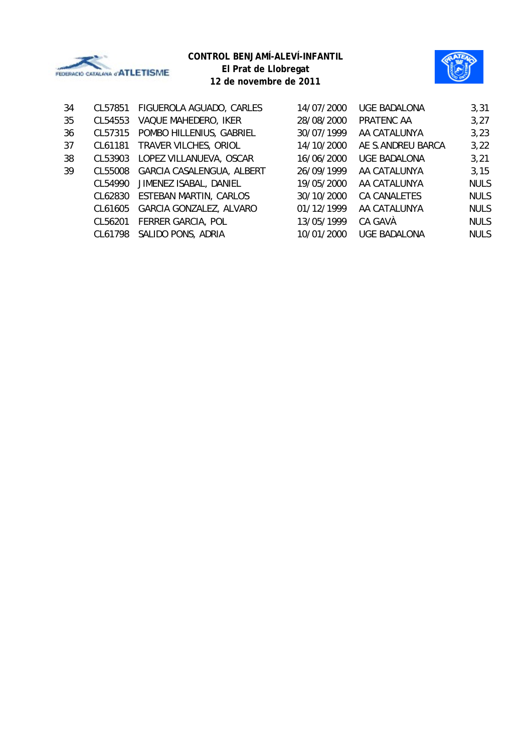



**12 de novembre de 2011**

| 34 | CL57851 | FIGUEROLA AGUADO, CARLES  | 14/07/2000 | <b>UGE BADALONA</b> | 3,31        |
|----|---------|---------------------------|------------|---------------------|-------------|
| 35 | CL54553 | VAQUE MAHEDERO, IKER      | 28/08/2000 | PRATENC AA          | 3,27        |
| 36 | CL57315 | POMBO HILLENIUS, GABRIEL  | 30/07/1999 | AA CATALUNYA        | 3,23        |
| 37 | CL61181 | TRAVER VILCHES, ORIOL     | 14/10/2000 | AE S.ANDREU BARCA   | 3,22        |
| 38 | CL53903 | LOPEZ VILLANUEVA, OSCAR   | 16/06/2000 | <b>UGE BADALONA</b> | 3,21        |
| 39 | CL55008 | GARCIA CASALENGUA, ALBERT | 26/09/1999 | AA CATALUNYA        | 3,15        |
|    | CL54990 | JIMENEZ ISABAL, DANIEL    | 19/05/2000 | AA CATALUNYA        | <b>NULS</b> |
|    | CL62830 | ESTEBAN MARTIN, CARLOS    | 30/10/2000 | CA CANALETES        | <b>NULS</b> |
|    | CL61605 | GARCIA GONZALEZ, ALVARO   | 01/12/1999 | AA CATALUNYA        | <b>NULS</b> |
|    | CL56201 | FERRER GARCIA, POL        | 13/05/1999 | CA GAVÀ             | <b>NULS</b> |
|    | CL61798 | SALIDO PONS, ADRIA        | 10/01/2000 | <b>UGE BADALONA</b> | <b>NULS</b> |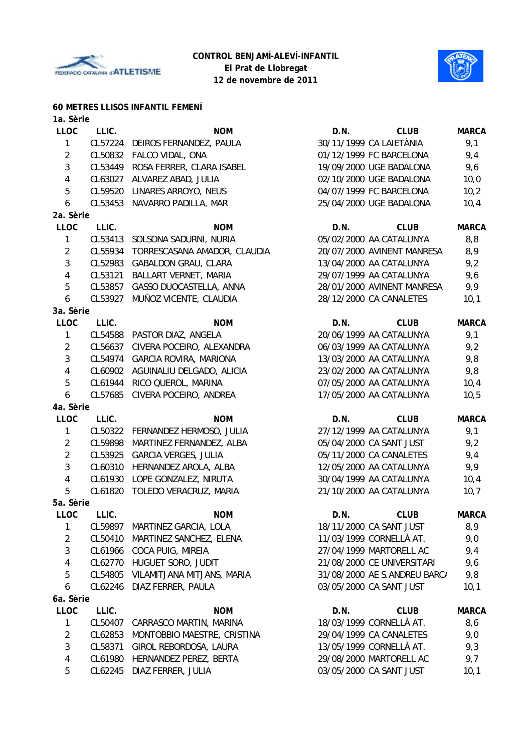

**60 METRES LLISOS INFANTIL FEMENÍ**

#### **CONTROL BENJAMÍ-ALEVÍ-INFANTIL El Prat de Llobregat 12 de novembre de 2011**



| 1a. Sèrie               |         |                                      |      |                              |              |
|-------------------------|---------|--------------------------------------|------|------------------------------|--------------|
| <b>LLOC</b>             | LLIC.   | <b>NOM</b>                           | D.N. | <b>CLUB</b>                  | <b>MARCA</b> |
| $\mathbf{1}$            | CL57224 | DEIROS FERNANDEZ, PAULA              |      | 30/11/1999 CA LAIETÀNIA      | 9,1          |
| $\overline{2}$          |         | CL50832 FALCO VIDAL, ONA             |      | 01/12/1999 FC BARCELONA      | 9,4          |
| 3                       | CL53449 | ROSA FERRER, CLARA ISABEL            |      | 19/09/2000 UGE BADALONA      | 9,6          |
| $\overline{\mathbf{4}}$ | CL63027 | ALVAREZ ABAD, JULIA                  |      | 02/10/2000 UGE BADALONA      | 10,0         |
| 5                       | CL59520 | LINARES ARROYO, NEUS                 |      | 04/07/1999 FC BARCELONA      | 10,2         |
| 6                       |         | CL53453 NAVARRO PADILLA, MAR         |      | 25/04/2000 UGE BADALONA      | 10,4         |
| 2a. Sèrie               |         |                                      |      |                              |              |
| <b>LLOC</b>             | LLIC.   | <b>NOM</b>                           | D.N. | <b>CLUB</b>                  | <b>MARCA</b> |
| $\mathbf{1}$            | CL53413 | SOLSONA SADURNI, NURIA               |      | 05/02/2000 AA CATALUNYA      | 8,8          |
| $\overline{2}$          |         | CL55934 TORRESCASANA AMADOR, CLAUDIA |      | 20/07/2000 AVINENT MANRESA   | 8,9          |
| 3                       | CL52983 | <b>GABALDON GRAU, CLARA</b>          |      | 13/04/2000 AA CATALUNYA      | 9,2          |
| $\overline{\mathbf{4}}$ | CL53121 | BALLART VERNET, MARIA                |      | 29/07/1999 AA CATALUNYA      | 9,6          |
| 5                       | CL53857 | GASSO DUOCASTELLA, ANNA              |      | 28/01/2000 AVINENT MANRESA   | 9,9          |
| 6                       | CL53927 | MUÑOZ VICENTE, CLAUDIA               |      | 28/12/2000 CA CANALETES      | 10,1         |
| 3a. Sèrie               |         |                                      |      |                              |              |
| LLOC                    | LLIC.   | <b>NOM</b>                           | D.N. | <b>CLUB</b>                  | <b>MARCA</b> |
| $\mathbf{1}$            | CL54588 | PASTOR DIAZ, ANGELA                  |      | 20/06/1999 AA CATALUNYA      | 9,1          |
| $\overline{2}$          | CL56637 | CIVERA POCEIRO, ALEXANDRA            |      | 06/03/1999 AA CATALUNYA      | 9,2          |
| 3                       |         | CL54974 GARCIA ROVIRA, MARIONA       |      | 13/03/2000 AA CATALUNYA      | 9,8          |
| $\overline{4}$          |         | CL60902 AGUINALIU DELGADO, ALICIA    |      | 23/02/2000 AA CATALUNYA      | 9,8          |
| 5                       | CL61944 | RICO QUEROL, MARINA                  |      | 07/05/2000 AA CATALUNYA      | 10,4         |
| 6                       | CL57685 | CIVERA POCEIRO, ANDREA               |      | 17/05/2000 AA CATALUNYA      | 10,5         |
| 4a. Sèrie               |         |                                      |      |                              |              |
| <b>LLOC</b>             | LLIC.   | <b>NOM</b>                           | D.N. | <b>CLUB</b>                  | <b>MARCA</b> |
| 1                       | CL50322 | FERNANDEZ HERMOSO, JULIA             |      | 27/12/1999 AA CATALUNYA      | 9,1          |
| $\overline{2}$          | CL59898 | MARTINEZ FERNANDEZ, ALBA             |      | 05/04/2000 CA SANT JUST      | 9,2          |
| $\overline{2}$          |         | CL53925 GARCIA VERGES, JULIA         |      | 05/11/2000 CA CANALETES      | 9,4          |
| 3                       | CL60310 | HERNANDEZ AROLA, ALBA                |      | 12/05/2000 AA CATALUNYA      | 9,9          |
| $\overline{4}$          | CL61930 | LOPE GONZALEZ, NIRUTA                |      | 30/04/1999 AA CATALUNYA      | 10,4         |
| 5                       |         | CL61820 TOLEDO VERACRUZ, MARIA       |      | 21/10/2000 AA CATALUNYA      | 10, 7        |
| 5a. Sèrie               |         |                                      |      |                              |              |
| <b>LLOC</b>             | LLIC.   | <b>NOM</b>                           | D.N. | <b>CLUB</b>                  | <b>MARCA</b> |
| 1                       | CL59897 | MARTINEZ GARCIA, LOLA                |      | 18/11/2000 CA SANT JUST      | 8,9          |
| $\overline{a}$          | CL50410 | MARTINEZ SANCHEZ, ELENA              |      | 11/03/1999 CORNELLÀ AT.      | 9,0          |
| 3                       | CL61966 | COCA PUIG, MIREIA                    |      | 27/04/1999 MARTORELL AC      | 9,4          |
| $\overline{4}$          | CL62770 | HUGUET SORO, JUDIT                   |      | 21/08/2000 CE UNIVERSITARI   | 9,6          |
| 5                       | CL54805 | VILAMITJANA MITJANS, MARIA           |      | 31/08/2000 AE S.ANDREU BARC/ | 9,8          |
| 6                       | CL62246 | DIAZ FERRER, PAULA                   |      | 03/05/2000 CA SANT JUST      | 10,1         |
| 6a. Sèrie               |         |                                      |      |                              |              |
| <b>LLOC</b>             | LLIC.   | <b>NOM</b>                           | D.N. | <b>CLUB</b>                  | <b>MARCA</b> |
| 1                       | CL50407 | CARRASCO MARTIN, MARINA              |      | 18/03/1999 CORNELLÀ AT.      | 8,6          |
| $\overline{2}$          | CL62853 | MONTOBBIO MAESTRE, CRISTINA          |      | 29/04/1999 CA CANALETES      | 9,0          |
| 3                       | CL58371 | GIROL REBORDOSA, LAURA               |      | 13/05/1999 CORNELLÀ AT.      | 9,3          |

4 CL61980 HERNANDEZ PEREZ, BERTA 29/08/2000 MARTORELL AC 9,7 5 CL62245 DIAZ FERRER, JULIA 03/05/2000 CA SANT JUST 10,1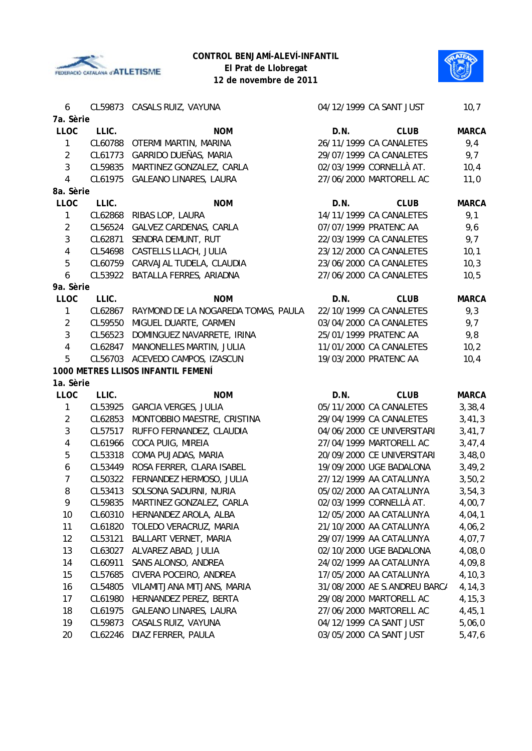





| 6                |         | CL59873 CASALS RUIZ, VAYUNA         |      | 04/12/1999 CA SANT JUST      | 10,7         |
|------------------|---------|-------------------------------------|------|------------------------------|--------------|
| 7a. Sèrie        |         |                                     |      |                              |              |
| <b>LLOC</b>      | LLIC.   | <b>NOM</b>                          | D.N. | <b>CLUB</b>                  | <b>MARCA</b> |
| 1                | CL60788 | OTERMI MARTIN, MARINA               |      | 26/11/1999 CA CANALETES      | 9,4          |
| $\overline{2}$   | CL61773 | GARRIDO DUEÑAS, MARIA               |      | 29/07/1999 CA CANALETES      | 9,7          |
| $\mathbf{3}$     | CL59835 | MARTINEZ GONZALEZ, CARLA            |      | 02/03/1999 CORNELLÀ AT.      | 10,4         |
| $\overline{4}$   | CL61975 | <b>GALEANO LINARES, LAURA</b>       |      | 27/06/2000 MARTORELL AC      | 11,0         |
| 8a. Sèrie        |         |                                     |      |                              |              |
| <b>LLOC</b>      | LLIC.   | <b>NOM</b>                          | D.N. | <b>CLUB</b>                  | <b>MARCA</b> |
| 1                | CL62868 | RIBAS LOP, LAURA                    |      | 14/11/1999 CA CANALETES      | 9,1          |
| $\overline{2}$   | CL56524 | GALVEZ CARDENAS, CARLA              |      | 07/07/1999 PRATENC AA        | 9,6          |
| 3                | CL62871 | SENDRA DEMUNT, RUT                  |      | 22/03/1999 CA CANALETES      | 9,7          |
| $\overline{4}$   | CL54698 | CASTELLS LLACH, JULIA               |      | 23/12/2000 CA CANALETES      | 10,1         |
| 5                |         | CL60759 CARVAJAL TUDELA, CLAUDIA    |      | 23/06/2000 CA CANALETES      | 10,3         |
| 6                |         | CL53922 BATALLA FERRES, ARIADNA     |      | 27/06/2000 CA CANALETES      | 10,5         |
| 9a. Sèrie        |         |                                     |      |                              |              |
| LLOC             | LLIC.   | <b>NOM</b>                          | D.N. | <b>CLUB</b>                  | <b>MARCA</b> |
| 1                | CL62867 | RAYMOND DE LA NOGAREDA TOMAS, PAULA |      | 22/10/1999 CA CANALETES      | 9,3          |
| $\overline{2}$   | CL59550 | MIGUEL DUARTE, CARMEN               |      | 03/04/2000 CA CANALETES      | 9,7          |
| 3                | CL56523 | DOMINGUEZ NAVARRETE, IRINA          |      | 25/01/1999 PRATENC AA        | 9,8          |
| $\overline{4}$   | CL62847 | MANONELLES MARTIN, JULIA            |      | 11/01/2000 CA CANALETES      | 10,2         |
| 5                |         | CL56703 ACEVEDO CAMPOS, IZASCUN     |      | 19/03/2000 PRATENC AA        | 10,4         |
|                  |         | 1000 METRES LLISOS INFANTIL FEMENÍ  |      |                              |              |
| 1a. Sèrie        |         |                                     |      |                              |              |
| LLOC             | LLIC.   | <b>NOM</b>                          | D.N. | <b>CLUB</b>                  | <b>MARCA</b> |
| 1                | CL53925 | <b>GARCIA VERGES, JULIA</b>         |      | 05/11/2000 CA CANALETES      | 3,38,4       |
| $\overline{2}$   | CL62853 | MONTOBBIO MAESTRE, CRISTINA         |      | 29/04/1999 CA CANALETES      | 3,41,3       |
| 3                | CL57517 | RUFFO FERNANDEZ, CLAUDIA            |      | 04/06/2000 CE UNIVERSITARI   | 3,41,7       |
| 4                | CL61966 | COCA PUIG, MIREIA                   |      | 27/04/1999 MARTORELL AC      | 3,47,4       |
| 5                | CL53318 | COMA PUJADAS, MARIA                 |      | 20/09/2000 CE UNIVERSITARI   | 3,48,0       |
| $\boldsymbol{6}$ | CL53449 | ROSA FERRER, CLARA ISABEL           |      | 19/09/2000 UGE BADALONA      | 3,49,2       |
| $\overline{7}$   | CL50322 | FERNANDEZ HERMOSO, JULIA            |      | 27/12/1999 AA CATALUNYA      | 3,50,2       |
| 8                | CL53413 | SOLSONA SADURNI, NURIA              |      | 05/02/2000 AA CATALUNYA      | 3,54,3       |
| 9                | CL59835 | MARTINEZ GONZALEZ, CARLA            |      | 02/03/1999 CORNELLÀ AT.      | 4,00,7       |
| 10               | CL60310 | HERNANDEZ AROLA, ALBA               |      | 12/05/2000 AA CATALUNYA      | 4,04,1       |
| 11               | CL61820 | TOLEDO VERACRUZ, MARIA              |      | 21/10/2000 AA CATALUNYA      | 4,06,2       |
| 12               | CL53121 | BALLART VERNET, MARIA               |      | 29/07/1999 AA CATALUNYA      | 4,07,7       |
| 13               | CL63027 | ALVAREZ ABAD, JULIA                 |      | 02/10/2000 UGE BADALONA      | 4,08,0       |
| 14               | CL60911 | SANS ALONSO, ANDREA                 |      | 24/02/1999 AA CATALUNYA      | 4,09,8       |
| 15               | CL57685 | CIVERA POCEIRO, ANDREA              |      | 17/05/2000 AA CATALUNYA      | 4, 10, 3     |
| 16               | CL54805 | VILAMITJANA MITJANS, MARIA          |      | 31/08/2000 AE S.ANDREU BARC/ | 4, 14, 3     |
| 17               | CL61980 | HERNANDEZ PEREZ, BERTA              |      | 29/08/2000 MARTORELL AC      | 4, 15, 3     |
| 18               | CL61975 | <b>GALEANO LINARES, LAURA</b>       |      | 27/06/2000 MARTORELL AC      | 4,45,1       |
| 19               | CL59873 | CASALS RUIZ, VAYUNA                 |      | 04/12/1999 CA SANT JUST      | 5,06,0       |
| 20               | CL62246 | DIAZ FERRER, PAULA                  |      | 03/05/2000 CA SANT JUST      | 5,47,6       |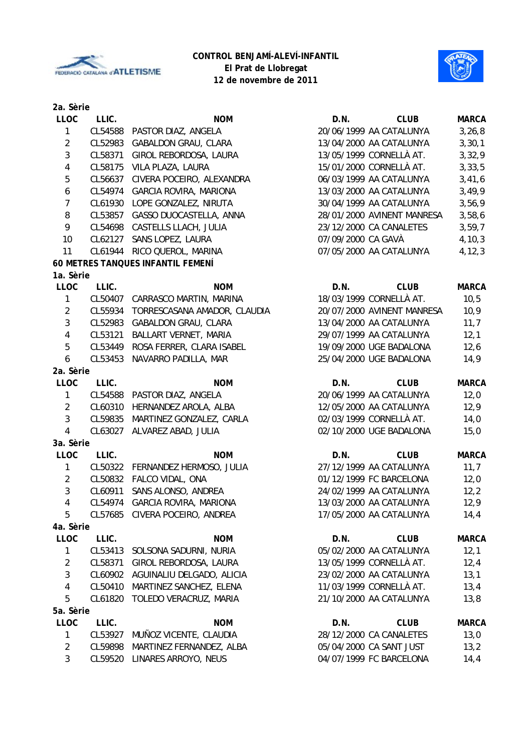



| 2a. Sèrie        |         |                                   |                    |                            |              |
|------------------|---------|-----------------------------------|--------------------|----------------------------|--------------|
| <b>LLOC</b>      | LLIC.   | <b>NOM</b>                        | D.N.               | <b>CLUB</b>                | <b>MARCA</b> |
| $\mathbf{1}$     | CL54588 | PASTOR DIAZ, ANGELA               |                    | 20/06/1999 AA CATALUNYA    | 3, 26, 8     |
| $\overline{2}$   | CL52983 | <b>GABALDON GRAU, CLARA</b>       |                    | 13/04/2000 AA CATALUNYA    | 3, 30, 1     |
| $\mathbf{3}$     | CL58371 | GIROL REBORDOSA, LAURA            |                    | 13/05/1999 CORNELLÀ AT.    | 3,32,9       |
| $\sqrt{4}$       | CL58175 | VILA PLAZA, LAURA                 |                    | 15/01/2000 CORNELLÀ AT.    | 3, 33, 5     |
| $\overline{5}$   | CL56637 | CIVERA POCEIRO, ALEXANDRA         |                    | 06/03/1999 AA CATALUNYA    | 3,41,6       |
| $\boldsymbol{6}$ |         | CL54974 GARCIA ROVIRA, MARIONA    |                    | 13/03/2000 AA CATALUNYA    | 3,49,9       |
| $\overline{7}$   | CL61930 | LOPE GONZALEZ, NIRUTA             |                    | 30/04/1999 AA CATALUNYA    | 3,56,9       |
| 8                |         | CL53857 GASSO DUOCASTELLA, ANNA   |                    | 28/01/2000 AVINENT MANRESA | 3,58,6       |
| 9                | CL54698 | CASTELLS LLACH, JULIA             |                    | 23/12/2000 CA CANALETES    | 3,59,7       |
| 10               | CL62127 | SANS LOPEZ, LAURA                 | 07/09/2000 CA GAVÀ |                            | 4, 10, 3     |
| 11               | CL61944 | RICO QUEROL, MARINA               |                    | 07/05/2000 AA CATALUNYA    | 4, 12, 3     |
|                  |         | 60 METRES TANQUES INFANTIL FEMENÍ |                    |                            |              |
| 1a. Sèrie        |         |                                   |                    |                            |              |
| <b>LLOC</b>      | LLIC.   | <b>NOM</b>                        | D.N.               | <b>CLUB</b>                | <b>MARCA</b> |
| $\mathbf{1}$     | CL50407 | CARRASCO MARTIN, MARINA           |                    | 18/03/1999 CORNELLÀ AT.    | 10, 5        |
| $\overline{2}$   | CL55934 | TORRESCASANA AMADOR, CLAUDIA      |                    | 20/07/2000 AVINENT MANRESA | 10,9         |
| $\mathbf{3}$     | CL52983 | <b>GABALDON GRAU, CLARA</b>       |                    | 13/04/2000 AA CATALUNYA    | 11,7         |
| $\overline{4}$   | CL53121 | BALLART VERNET, MARIA             |                    | 29/07/1999 AA CATALUNYA    | 12,1         |
| 5                | CL53449 | ROSA FERRER, CLARA ISABEL         |                    | 19/09/2000 UGE BADALONA    | 12,6         |
| 6                | CL53453 | NAVARRO PADILLA, MAR              |                    | 25/04/2000 UGE BADALONA    | 14,9         |
| 2a. Sèrie        |         |                                   |                    |                            |              |
| <b>LLOC</b>      | LLIC.   | <b>NOM</b>                        | D.N.               | <b>CLUB</b>                | <b>MARCA</b> |
| $\mathbf{1}$     | CL54588 | PASTOR DIAZ, ANGELA               |                    | 20/06/1999 AA CATALUNYA    | 12,0         |
| $\overline{2}$   | CL60310 | HERNANDEZ AROLA, ALBA             |                    | 12/05/2000 AA CATALUNYA    | 12,9         |
| $\mathfrak{Z}$   | CL59835 | MARTINEZ GONZALEZ, CARLA          |                    | 02/03/1999 CORNELLÀ AT.    | 14,0         |
| $\overline{4}$   | CL63027 | ALVAREZ ABAD, JULIA               |                    | 02/10/2000 UGE BADALONA    | 15,0         |
| 3a. Sèrie        |         |                                   |                    |                            |              |
| <b>LLOC</b>      | LLIC.   | <b>NOM</b>                        | D.N.               | <b>CLUB</b>                | <b>MARCA</b> |
| $\mathbf{1}$     |         | CL50322 FERNANDEZ HERMOSO, JULIA  |                    | 27/12/1999 AA CATALUNYA    | 11,7         |
| $\overline{2}$   | CL50832 | FALCO VIDAL, ONA                  |                    | 01/12/1999 FC BARCELONA    | 12,0         |
| $\mathbf{3}$     | CL60911 | SANS ALONSO, ANDREA               |                    | 24/02/1999 AA CATALUNYA    | 12,2         |
|                  | CL54974 | GARCIA ROVIRA, MARIONA            |                    | 13/03/2000 AA CATALUNYA    | 12,9         |
| 4                | CL57685 |                                   |                    | 17/05/2000 AA CATALUNYA    |              |
| 5<br>4a. Sèrie   |         | CIVERA POCEIRO, ANDREA            |                    |                            | 14,4         |
| <b>LLOC</b>      | LLIC.   | <b>NOM</b>                        | D.N.               | <b>CLUB</b>                |              |
|                  |         |                                   |                    | 05/02/2000 AA CATALUNYA    | <b>MARCA</b> |
| $\mathbf{1}$     | CL53413 | SOLSONA SADURNI, NURIA            |                    |                            | 12,1         |
| $\overline{2}$   | CL58371 | GIROL REBORDOSA, LAURA            |                    | 13/05/1999 CORNELLÀ AT.    | 12,4         |
| 3                | CL60902 | AGUINALIU DELGADO, ALICIA         |                    | 23/02/2000 AA CATALUNYA    | 13,1         |
| $\overline{4}$   | CL50410 | MARTINEZ SANCHEZ, ELENA           |                    | 11/03/1999 CORNELLÀ AT.    | 13,4         |
| 5                | CL61820 | TOLEDO VERACRUZ, MARIA            |                    | 21/10/2000 AA CATALUNYA    | 13,8         |
| 5a. Sèrie        |         |                                   |                    |                            |              |
| LLOC             | LLIC.   | <b>NOM</b>                        | D.N.               | <b>CLUB</b>                | <b>MARCA</b> |
| 1                | CL53927 | MUÑOZ VICENTE, CLAUDIA            |                    | 28/12/2000 CA CANALETES    | 13,0         |
| $\overline{2}$   | CL59898 | MARTINEZ FERNANDEZ, ALBA          |                    | 05/04/2000 CA SANT JUST    | 13,2         |
| $\mathbf{3}$     | CL59520 | LINARES ARROYO, NEUS              |                    | 04/07/1999 FC BARCELONA    | 14,4         |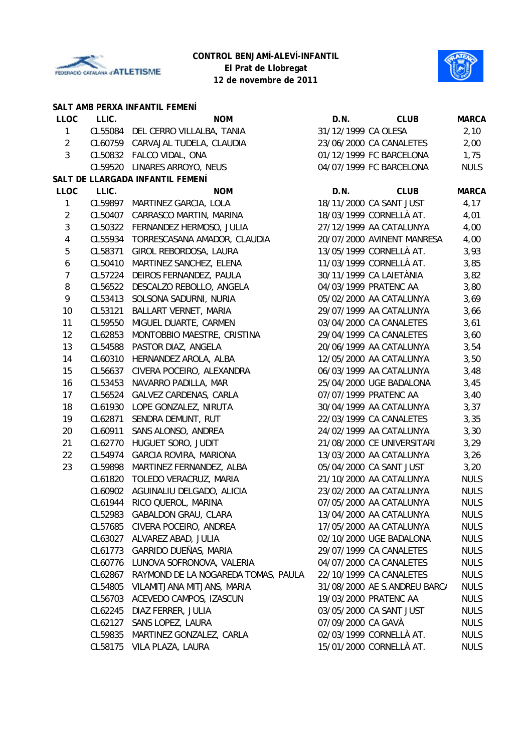



|                  |         | SALT AMB PERXA INFANTIL FEMENÍ      |                     |                              |              |
|------------------|---------|-------------------------------------|---------------------|------------------------------|--------------|
| <b>LLOC</b>      | LLIC.   | <b>NOM</b>                          | D.N.                | <b>CLUB</b>                  | <b>MARCA</b> |
| $\mathbf{1}$     |         | CL55084 DEL CERRO VILLALBA, TANIA   | 31/12/1999 CA OLESA |                              | 2,10         |
| $\overline{2}$   |         | CL60759 CARVAJAL TUDELA, CLAUDIA    |                     | 23/06/2000 CA CANALETES      | 2,00         |
| $\mathbf{3}$     |         | CL50832 FALCO VIDAL, ONA            |                     | 01/12/1999 FC BARCELONA      | 1,75         |
|                  |         | CL59520 LINARES ARROYO, NEUS        |                     | 04/07/1999 FC BARCELONA      | <b>NULS</b>  |
|                  |         | SALT DE LLARGADA INFANTIL FEMENÍ    |                     |                              |              |
| <b>LLOC</b>      | LLIC.   | <b>NOM</b>                          | D.N.                | <b>CLUB</b>                  | <b>MARCA</b> |
| $\mathbf{1}$     |         | CL59897 MARTINEZ GARCIA, LOLA       |                     | 18/11/2000 CA SANT JUST      | 4,17         |
| $\overline{2}$   | CL50407 | CARRASCO MARTIN, MARINA             |                     | 18/03/1999 CORNELLÀ AT.      | 4,01         |
| $\mathbf{3}$     | CL50322 | FERNANDEZ HERMOSO, JULIA            |                     | 27/12/1999 AA CATALUNYA      | 4,00         |
| $\overline{4}$   | CL55934 | TORRESCASANA AMADOR, CLAUDIA        |                     | 20/07/2000 AVINENT MANRESA   | 4,00         |
| 5                | CL58371 | GIROL REBORDOSA, LAURA              |                     | 13/05/1999 CORNELLÀ AT.      | 3,93         |
| $\boldsymbol{6}$ | CL50410 | MARTINEZ SANCHEZ, ELENA             |                     | 11/03/1999 CORNELLÀ AT.      | 3,85         |
| $\overline{7}$   | CL57224 | DEIROS FERNANDEZ, PAULA             |                     | 30/11/1999 CA LAIETÀNIA      | 3,82         |
| 8                | CL56522 | DESCALZO REBOLLO, ANGELA            |                     | 04/03/1999 PRATENC AA        | 3,80         |
| 9                | CL53413 | SOLSONA SADURNI, NURIA              |                     | 05/02/2000 AA CATALUNYA      | 3,69         |
| 10               | CL53121 | BALLART VERNET, MARIA               |                     | 29/07/1999 AA CATALUNYA      | 3,66         |
| 11               | CL59550 | MIGUEL DUARTE, CARMEN               |                     | 03/04/2000 CA CANALETES      | 3,61         |
| 12               | CL62853 | MONTOBBIO MAESTRE, CRISTINA         |                     | 29/04/1999 CA CANALETES      | 3,60         |
| 13               | CL54588 | PASTOR DIAZ, ANGELA                 |                     | 20/06/1999 AA CATALUNYA      | 3,54         |
| 14               | CL60310 | HERNANDEZ AROLA, ALBA               |                     | 12/05/2000 AA CATALUNYA      | 3,50         |
| 15               | CL56637 | CIVERA POCEIRO, ALEXANDRA           |                     | 06/03/1999 AA CATALUNYA      | 3,48         |
| 16               | CL53453 | NAVARRO PADILLA, MAR                |                     | 25/04/2000 UGE BADALONA      | 3,45         |
| 17               | CL56524 | GALVEZ CARDENAS, CARLA              |                     | 07/07/1999 PRATENC AA        | 3,40         |
| 18               | CL61930 | LOPE GONZALEZ, NIRUTA               |                     | 30/04/1999 AA CATALUNYA      | 3,37         |
| 19               | CL62871 | SENDRA DEMUNT, RUT                  |                     | 22/03/1999 CA CANALETES      | 3,35         |
| 20               | CL60911 | SANS ALONSO, ANDREA                 |                     | 24/02/1999 AA CATALUNYA      | 3,30         |
| 21               | CL62770 | HUGUET SORO, JUDIT                  |                     | 21/08/2000 CE UNIVERSITARI   | 3,29         |
| 22               | CL54974 | GARCIA ROVIRA, MARIONA              |                     | 13/03/2000 AA CATALUNYA      | 3,26         |
| 23               | CL59898 | MARTINEZ FERNANDEZ, ALBA            |                     | 05/04/2000 CA SANT JUST      | 3,20         |
|                  | CL61820 | TOLEDO VERACRUZ, MARIA              |                     | 21/10/2000 AA CATALUNYA      | <b>NULS</b>  |
|                  | CL60902 | AGUINALIU DELGADO, ALICIA           |                     | 23/02/2000 AA CATALUNYA      | <b>NULS</b>  |
|                  |         | CL61944 RICO QUEROL, MARINA         |                     | 07/05/2000 AA CATALUNYA      | <b>NULS</b>  |
|                  |         | CL52983 GABALDON GRAU, CLARA        |                     | 13/04/2000 AA CATALUNYA      | <b>NULS</b>  |
|                  | CL57685 | CIVERA POCEIRO, ANDREA              |                     | 17/05/2000 AA CATALUNYA      | <b>NULS</b>  |
|                  | CL63027 | ALVAREZ ABAD, JULIA                 |                     | 02/10/2000 UGE BADALONA      | <b>NULS</b>  |
|                  | CL61773 | GARRIDO DUEÑAS, MARIA               |                     | 29/07/1999 CA CANALETES      | <b>NULS</b>  |
|                  | CL60776 | LUNOVA SOFRONOVA, VALERIA           |                     | 04/07/2000 CA CANALETES      | <b>NULS</b>  |
|                  | CL62867 | RAYMOND DE LA NOGAREDA TOMAS, PAULA |                     | 22/10/1999 CA CANALETES      | <b>NULS</b>  |
|                  | CL54805 | VILAMITJANA MITJANS, MARIA          |                     | 31/08/2000 AE S.ANDREU BARC/ | <b>NULS</b>  |
|                  | CL56703 | ACEVEDO CAMPOS, IZASCUN             |                     | 19/03/2000 PRATENC AA        | <b>NULS</b>  |
|                  | CL62245 | DIAZ FERRER, JULIA                  |                     | 03/05/2000 CA SANT JUST      | <b>NULS</b>  |
|                  | CL62127 | SANS LOPEZ, LAURA                   | 07/09/2000 CA GAVÀ  |                              | <b>NULS</b>  |
|                  | CL59835 | MARTINEZ GONZALEZ, CARLA            |                     | 02/03/1999 CORNELLÀ AT.      | <b>NULS</b>  |
|                  | CL58175 | VILA PLAZA, LAURA                   |                     | 15/01/2000 CORNELLÀ AT.      | <b>NULS</b>  |
|                  |         |                                     |                     |                              |              |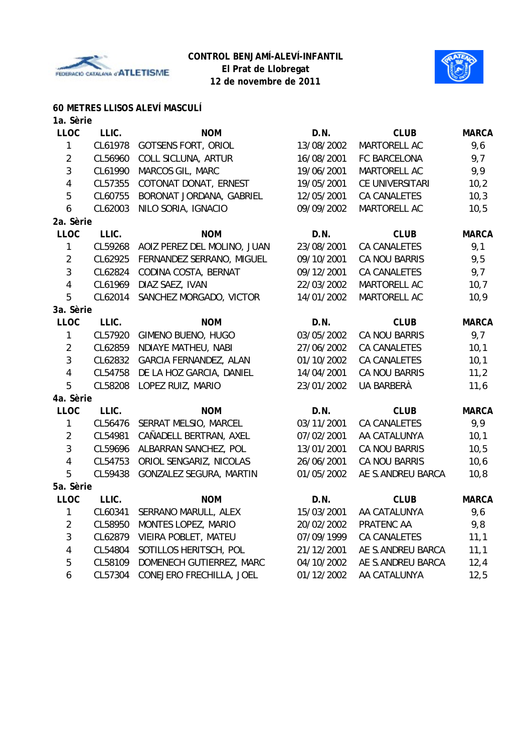



## **60 METRES LLISOS ALEVÍ MASCULÍ**

| 1a. Sèrie               |         |                             |            |                      |              |
|-------------------------|---------|-----------------------------|------------|----------------------|--------------|
| <b>LLOC</b>             | LLIC.   | <b>NOM</b>                  | D.N.       | <b>CLUB</b>          | <b>MARCA</b> |
| 1                       | CL61978 | <b>GOTSENS FORT, ORIOL</b>  | 13/08/2002 | MARTORELL AC         | 9,6          |
| $\overline{2}$          | CL56960 | COLL SICLUNA, ARTUR         | 16/08/2001 | FC BARCELONA         | 9,7          |
| 3                       | CL61990 | MARCOS GIL, MARC            | 19/06/2001 | MARTORELL AC         | 9,9          |
| $\overline{4}$          | CL57355 | COTONAT DONAT, ERNEST       | 19/05/2001 | CE UNIVERSITARI      | 10,2         |
| 5                       | CL60755 | BORONAT JORDANA, GABRIEL    | 12/05/2001 | CA CANALETES         | 10,3         |
| 6                       | CL62003 | NILO SORIA, IGNACIO         | 09/09/2002 | MARTORELL AC         | 10,5         |
| 2a. Sèrie               |         |                             |            |                      |              |
| <b>LLOC</b>             | LLIC.   | <b>NOM</b>                  | D.N.       | <b>CLUB</b>          | <b>MARCA</b> |
| $\mathbf{1}$            | CL59268 | AOIZ PEREZ DEL MOLINO, JUAN | 23/08/2001 | <b>CA CANALETES</b>  | 9,1          |
| $\overline{2}$          | CL62925 | FERNANDEZ SERRANO, MIGUEL   | 09/10/2001 | CA NOU BARRIS        | 9,5          |
| $\mathbf{3}$            | CL62824 | CODINA COSTA, BERNAT        | 09/12/2001 | CA CANALETES         | 9,7          |
| $\overline{4}$          | CL61969 | DIAZ SAEZ, IVAN             | 22/03/2002 | MARTORELL AC         | 10,7         |
| 5                       | CL62014 | SANCHEZ MORGADO, VICTOR     | 14/01/2002 | MARTORELL AC         | 10,9         |
| 3a. Sèrie               |         |                             |            |                      |              |
| <b>LLOC</b>             | LLIC.   | <b>NOM</b>                  | D.N.       | <b>CLUB</b>          | <b>MARCA</b> |
| $\mathbf{1}$            | CL57920 | GIMENO BUENO, HUGO          | 03/05/2002 | CA NOU BARRIS        | 9,7          |
| $\overline{2}$          | CL62859 | NDIAYE MATHEU, NABI         | 27/06/2002 | CA CANALETES         | 10,1         |
| 3                       | CL62832 | GARCIA FERNANDEZ, ALAN      | 01/10/2002 | CA CANALETES         | 10,1         |
| $\overline{\mathbf{4}}$ | CL54758 | DE LA HOZ GARCIA, DANIEL    | 14/04/2001 | CA NOU BARRIS        | 11,2         |
| 5                       | CL58208 | LOPEZ RUIZ, MARIO           | 23/01/2002 | <b>UA BARBERÀ</b>    | 11,6         |
| 4a. Sèrie               |         |                             |            |                      |              |
| <b>LLOC</b>             | LLIC.   | <b>NOM</b>                  | D.N.       | <b>CLUB</b>          | <b>MARCA</b> |
| $\mathbf{1}$            | CL56476 | SERRAT MELSIO, MARCEL       | 03/11/2001 | <b>CA CANALETES</b>  | 9,9          |
| $\overline{2}$          | CL54981 | CAÑADELL BERTRAN, AXEL      | 07/02/2001 | AA CATALUNYA         | 10,1         |
| 3                       | CL59696 | ALBARRAN SANCHEZ, POL       | 13/01/2001 | CA NOU BARRIS        | 10, 5        |
| $\overline{4}$          | CL54753 | ORIOL SENGARIZ, NICOLAS     | 26/06/2001 | <b>CA NOU BARRIS</b> | 10,6         |
| 5                       | CL59438 | GONZALEZ SEGURA, MARTIN     | 01/05/2002 | AE S.ANDREU BARCA    | 10,8         |
| 5a. Sèrie               |         |                             |            |                      |              |
| <b>LLOC</b>             | LLIC.   | <b>NOM</b>                  | D.N.       | <b>CLUB</b>          | <b>MARCA</b> |
| $\mathbf{1}$            | CL60341 | SERRANO MARULL, ALEX        | 15/03/2001 | AA CATALUNYA         | 9,6          |
| $\overline{2}$          | CL58950 | MONTES LOPEZ, MARIO         | 20/02/2002 | PRATENC AA           | 9,8          |
| $\sqrt{3}$              | CL62879 | VIEIRA POBLET, MATEU        | 07/09/1999 | CA CANALETES         | 11,1         |
| $\overline{4}$          | CL54804 | SOTILLOS HERITSCH, POL      | 21/12/2001 | AE S.ANDREU BARCA    | 11,1         |
| $\mathbf 5$             | CL58109 | DOMENECH GUTIERREZ, MARC    | 04/10/2002 | AE S.ANDREU BARCA    | 12,4         |
| 6                       | CL57304 | CONEJERO FRECHILLA, JOEL    | 01/12/2002 | AA CATALUNYA         | 12,5         |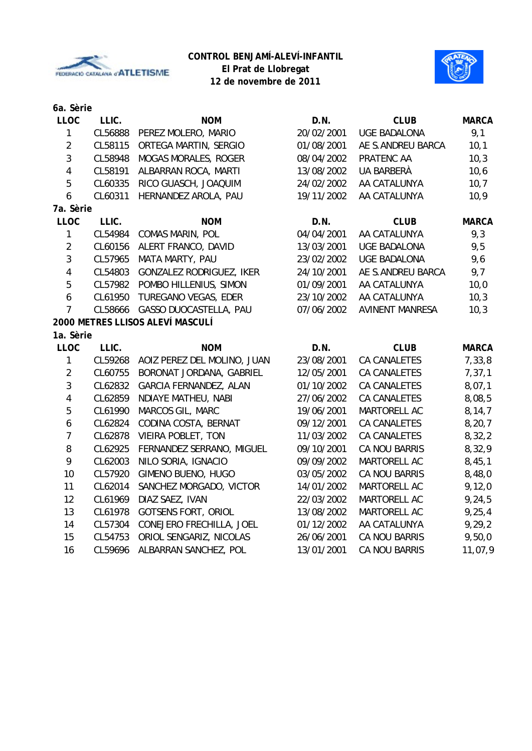



| 6a. Sèrie               |         |                                  |            |                        |              |
|-------------------------|---------|----------------------------------|------------|------------------------|--------------|
| <b>LLOC</b>             | LLIC.   | <b>NOM</b>                       | D.N.       | <b>CLUB</b>            | <b>MARCA</b> |
| $\mathbf{1}$            | CL56888 | PEREZ MOLERO, MARIO              | 20/02/2001 | <b>UGE BADALONA</b>    | 9,1          |
| $\overline{2}$          | CL58115 | ORTEGA MARTIN, SERGIO            | 01/08/2001 | AE S.ANDREU BARCA      | 10,1         |
| 3                       | CL58948 | MOGAS MORALES, ROGER             | 08/04/2002 | PRATENC AA             | 10,3         |
| $\overline{\mathbf{4}}$ | CL58191 | ALBARRAN ROCA, MARTI             | 13/08/2002 | UA BARBERÀ             | 10,6         |
| 5                       | CL60335 | RICO GUASCH, JOAQUIM             | 24/02/2002 | AA CATALUNYA           | 10,7         |
| 6                       | CL60311 | HERNANDEZ AROLA, PAU             | 19/11/2002 | AA CATALUNYA           | 10,9         |
| 7a. Sèrie               |         |                                  |            |                        |              |
| <b>LLOC</b>             | LLIC.   | <b>NOM</b>                       | D.N.       | <b>CLUB</b>            | <b>MARCA</b> |
| $\mathbf{1}$            | CL54984 | <b>COMAS MARIN, POL</b>          | 04/04/2001 | AA CATALUNYA           | 9,3          |
| $\overline{2}$          | CL60156 | ALERT FRANCO, DAVID              | 13/03/2001 | UGE BADALONA           | 9,5          |
| 3                       | CL57965 | MATA MARTY, PAU                  | 23/02/2002 | <b>UGE BADALONA</b>    | 9,6          |
| $\overline{4}$          | CL54803 | GONZALEZ RODRIGUEZ, IKER         | 24/10/2001 | AE S.ANDREU BARCA      | 9,7          |
| 5                       | CL57982 | POMBO HILLENIUS, SIMON           | 01/09/2001 | AA CATALUNYA           | 10,0         |
| 6                       | CL61950 | TUREGANO VEGAS, EDER             | 23/10/2002 | AA CATALUNYA           | 10,3         |
| $\overline{7}$          | CL58666 | GASSO DUOCASTELLA, PAU           | 07/06/2002 | <b>AVINENT MANRESA</b> | 10,3         |
|                         |         | 2000 METRES LLISOS ALEVÍ MASCULÍ |            |                        |              |
| 1a. Sèrie               |         |                                  |            |                        |              |
| <b>LLOC</b>             | LLIC.   | <b>NOM</b>                       | D.N.       | <b>CLUB</b>            | <b>MARCA</b> |
| $\mathbf{1}$            | CL59268 | AOIZ PEREZ DEL MOLINO, JUAN      | 23/08/2001 | CA CANALETES           | 7,33,8       |
| $\overline{2}$          | CL60755 | BORONAT JORDANA, GABRIEL         | 12/05/2001 | <b>CA CANALETES</b>    | 7, 37, 1     |
| 3                       | CL62832 | GARCIA FERNANDEZ, ALAN           | 01/10/2002 | <b>CA CANALETES</b>    | 8,07,1       |
| $\overline{4}$          | CL62859 | NDIAYE MATHEU, NABI              | 27/06/2002 | <b>CA CANALETES</b>    | 8,08,5       |
| 5                       | CL61990 | MARCOS GIL, MARC                 | 19/06/2001 | MARTORELL AC           | 8,14,7       |
| 6                       | CL62824 | CODINA COSTA, BERNAT             | 09/12/2001 | CA CANALETES           | 8, 20, 7     |
| $\overline{7}$          | CL62878 | VIEIRA POBLET, TON               | 11/03/2002 | CA CANALETES           | 8,32,2       |
| 8                       | CL62925 | FERNANDEZ SERRANO, MIGUEL        | 09/10/2001 | <b>CA NOU BARRIS</b>   | 8,32,9       |
| 9                       | CL62003 | NILO SORIA, IGNACIO              | 09/09/2002 | MARTORELL AC           | 8,45,1       |
| 10                      | CL57920 | GIMENO BUENO, HUGO               | 03/05/2002 | <b>CA NOU BARRIS</b>   | 8,48,0       |
| 11                      | CL62014 | SANCHEZ MORGADO, VICTOR          | 14/01/2002 | MARTORELL AC           | 9,12,0       |
| 12                      | CL61969 | DIAZ SAEZ, IVAN                  | 22/03/2002 | MARTORELL AC           | 9,24,5       |
| 13                      | CL61978 | <b>GOTSENS FORT, ORIOL</b>       | 13/08/2002 | MARTORELL AC           | 9, 25, 4     |
| 14                      | CL57304 | CONEJERO FRECHILLA, JOEL         | 01/12/2002 | AA CATALUNYA           | 9,29,2       |
| 15                      | CL54753 | ORIOL SENGARIZ, NICOLAS          | 26/06/2001 | <b>CA NOU BARRIS</b>   | 9,50,0       |
| 16                      | CL59696 | ALBARRAN SANCHEZ, POL            | 13/01/2001 | <b>CA NOU BARRIS</b>   | 11,07,9      |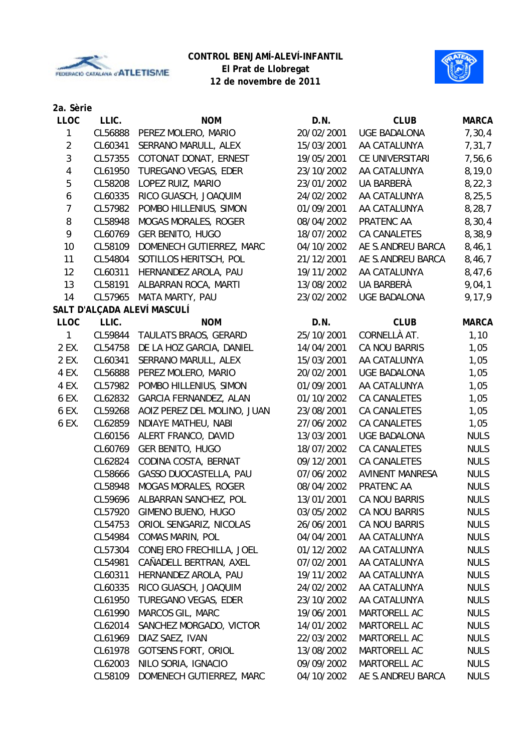



| 2a. Sèrie      |         |                             |            |                        |              |
|----------------|---------|-----------------------------|------------|------------------------|--------------|
| <b>LLOC</b>    | LLIC.   | <b>NOM</b>                  | D.N.       | <b>CLUB</b>            | <b>MARCA</b> |
| 1              | CL56888 | PEREZ MOLERO, MARIO         | 20/02/2001 | <b>UGE BADALONA</b>    | 7,30,4       |
| $\overline{2}$ | CL60341 | SERRANO MARULL, ALEX        | 15/03/2001 | AA CATALUNYA           | 7,31,7       |
| 3              | CL57355 | COTONAT DONAT, ERNEST       | 19/05/2001 | CE UNIVERSITARI        | 7,56,6       |
| 4              | CL61950 | TUREGANO VEGAS, EDER        | 23/10/2002 | AA CATALUNYA           | 8, 19, 0     |
| 5              | CL58208 | LOPEZ RUIZ, MARIO           | 23/01/2002 | UA BARBERÀ             | 8, 22, 3     |
| 6              | CL60335 | RICO GUASCH, JOAQUIM        | 24/02/2002 | AA CATALUNYA           | 8, 25, 5     |
| $\overline{7}$ | CL57982 | POMBO HILLENIUS, SIMON      | 01/09/2001 | AA CATALUNYA           | 8, 28, 7     |
| 8              | CL58948 | <b>MOGAS MORALES, ROGER</b> | 08/04/2002 | PRATENC AA             | 8,30,4       |
| 9              | CL60769 | <b>GER BENITO, HUGO</b>     | 18/07/2002 | CA CANALETES           | 8,38,9       |
| 10             | CL58109 | DOMENECH GUTIERREZ, MARC    | 04/10/2002 | AE S.ANDREU BARCA      | 8,46,1       |
| 11             | CL54804 | SOTILLOS HERITSCH, POL      | 21/12/2001 | AE S.ANDREU BARCA      | 8,46,7       |
| 12             | CL60311 | HERNANDEZ AROLA, PAU        | 19/11/2002 | AA CATALUNYA           | 8,47,6       |
| 13             | CL58191 | ALBARRAN ROCA, MARTI        | 13/08/2002 | UA BARBERÀ             | 9,04,1       |
| 14             | CL57965 | MATA MARTY, PAU             | 23/02/2002 | <b>UGE BADALONA</b>    | 9,17,9       |
|                |         | SALT D'ALÇADA ALEVÍ MASCULÍ |            |                        |              |
| <b>LLOC</b>    | LLIC.   | <b>NOM</b>                  | D.N.       | <b>CLUB</b>            | <b>MARCA</b> |
| $\mathbf{1}$   | CL59844 | TAULATS BRAOS, GERARD       | 25/10/2001 | CORNELLÀ AT.           | 1,10         |
| 2 EX.          | CL54758 | DE LA HOZ GARCIA, DANIEL    | 14/04/2001 | <b>CA NOU BARRIS</b>   | 1,05         |
| 2 EX.          | CL60341 | SERRANO MARULL, ALEX        | 15/03/2001 | AA CATALUNYA           | 1,05         |
| 4 EX.          | CL56888 | PEREZ MOLERO, MARIO         | 20/02/2001 | <b>UGE BADALONA</b>    | 1,05         |
| 4 EX.          | CL57982 | POMBO HILLENIUS, SIMON      | 01/09/2001 | AA CATALUNYA           | 1,05         |
| 6 EX.          | CL62832 | GARCIA FERNANDEZ, ALAN      | 01/10/2002 | CA CANALETES           | 1,05         |
| 6 EX.          | CL59268 | AOIZ PEREZ DEL MOLINO, JUAN | 23/08/2001 | CA CANALETES           | 1,05         |
| 6 EX.          | CL62859 | NDIAYE MATHEU, NABI         | 27/06/2002 | CA CANALETES           | 1,05         |
|                | CL60156 | ALERT FRANCO, DAVID         | 13/03/2001 | <b>UGE BADALONA</b>    | <b>NULS</b>  |
|                | CL60769 | <b>GER BENITO, HUGO</b>     | 18/07/2002 | CA CANALETES           | <b>NULS</b>  |
|                | CL62824 | CODINA COSTA, BERNAT        | 09/12/2001 | CA CANALETES           | <b>NULS</b>  |
|                | CL58666 | GASSO DUOCASTELLA, PAU      | 07/06/2002 | <b>AVINENT MANRESA</b> | <b>NULS</b>  |
|                | CL58948 | <b>MOGAS MORALES, ROGER</b> | 08/04/2002 | PRATENC AA             | <b>NULS</b>  |
|                | CL59696 | ALBARRAN SANCHEZ, POL       | 13/01/2001 | <b>CA NOU BARRIS</b>   | <b>NULS</b>  |
|                | CL57920 | GIMENO BUENO, HUGO          | 03/05/2002 | <b>CA NOU BARRIS</b>   | <b>NULS</b>  |
|                | CL54753 | ORIOL SENGARIZ, NICOLAS     | 26/06/2001 | <b>CA NOU BARRIS</b>   | <b>NULS</b>  |
|                | CL54984 | <b>COMAS MARIN, POL</b>     | 04/04/2001 | AA CATALUNYA           | <b>NULS</b>  |
|                | CL57304 | CONEJERO FRECHILLA, JOEL    | 01/12/2002 | AA CATALUNYA           | <b>NULS</b>  |
|                | CL54981 | CAÑADELL BERTRAN, AXEL      | 07/02/2001 | AA CATALUNYA           | <b>NULS</b>  |
|                | CL60311 | HERNANDEZ AROLA, PAU        | 19/11/2002 | AA CATALUNYA           | <b>NULS</b>  |
|                | CL60335 | RICO GUASCH, JOAQUIM        | 24/02/2002 | AA CATALUNYA           | <b>NULS</b>  |
|                | CL61950 | TUREGANO VEGAS, EDER        | 23/10/2002 | AA CATALUNYA           | <b>NULS</b>  |
|                | CL61990 | MARCOS GIL, MARC            | 19/06/2001 | MARTORELL AC           | <b>NULS</b>  |
|                | CL62014 | SANCHEZ MORGADO, VICTOR     | 14/01/2002 | MARTORELL AC           | <b>NULS</b>  |
|                | CL61969 | DIAZ SAEZ, IVAN             | 22/03/2002 | MARTORELL AC           | <b>NULS</b>  |
|                | CL61978 | <b>GOTSENS FORT, ORIOL</b>  | 13/08/2002 | MARTORELL AC           | <b>NULS</b>  |
|                | CL62003 | NILO SORIA, IGNACIO         | 09/09/2002 | MARTORELL AC           | <b>NULS</b>  |
|                | CL58109 | DOMENECH GUTIERREZ, MARC    | 04/10/2002 | AE S.ANDREU BARCA      | <b>NULS</b>  |
|                |         |                             |            |                        |              |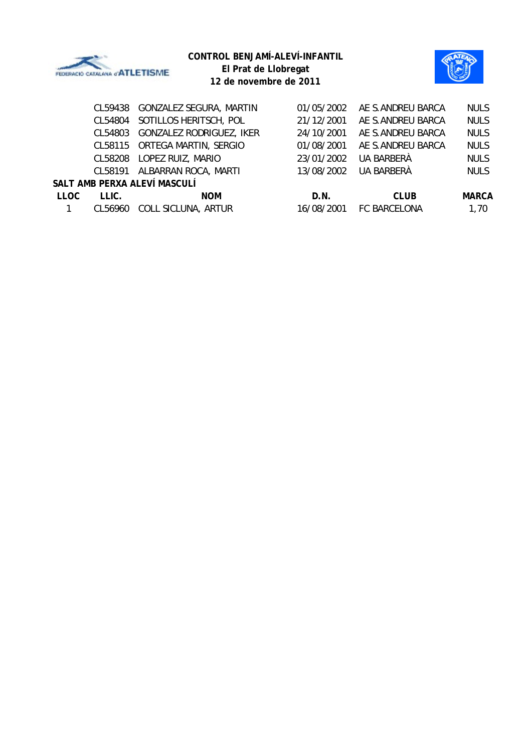

| El Piat de Liubiegat   |
|------------------------|
| 12 de novembre de 2011 |

|             | CL59438 | <b>GONZALEZ SEGURA, MARTIN</b> | 01/05/2002 | AE S.ANDREU BARCA | <b>NULS</b>  |
|-------------|---------|--------------------------------|------------|-------------------|--------------|
|             | CL54804 | SOTILLOS HERITSCH, POL         | 21/12/2001 | AE S.ANDREU BARCA | <b>NULS</b>  |
|             | CL54803 | GONZALEZ RODRIGUEZ, IKER       | 24/10/2001 | AE S.ANDREU BARCA | <b>NULS</b>  |
|             | CL58115 | ORTEGA MARTIN, SERGIO          | 01/08/2001 | AE S.ANDREU BARCA | <b>NULS</b>  |
|             | CL58208 | LOPEZ RUIZ, MARIO              | 23/01/2002 | UA BARBERÀ        | <b>NULS</b>  |
|             | CL58191 | ALBARRAN ROCA, MARTI           | 13/08/2002 | UA BARBERÀ        | <b>NULS</b>  |
|             |         | SALT AMB PERXA ALEVÍ MASCULÍ   |            |                   |              |
| <b>LLOC</b> | LLIC.   | <b>NOM</b>                     | D.N.       | <b>CLUB</b>       | <b>MARCA</b> |
|             | CL56960 | COLL SICLUNA, ARTUR            | 16/08/2001 | FC BARCELONA      | 1,70         |
|             |         |                                |            |                   |              |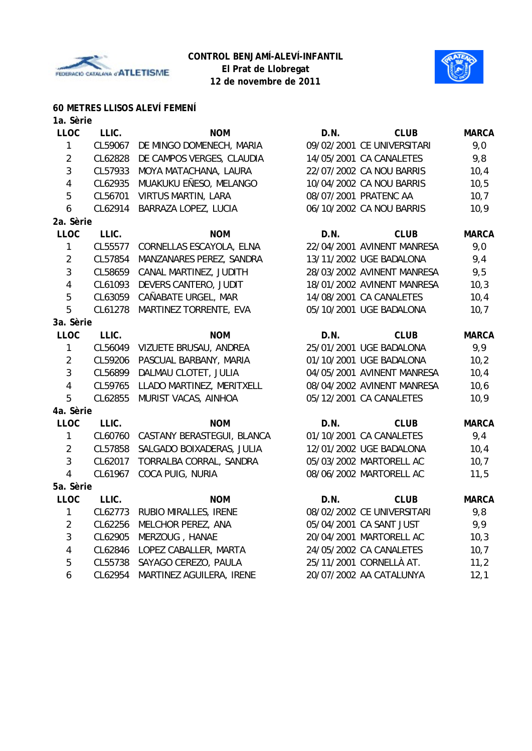



# **60 METRES LLISOS ALEVÍ FEMENÍ**

| 1a. Sèrie               |         |                                    |      |                            |              |
|-------------------------|---------|------------------------------------|------|----------------------------|--------------|
| <b>LLOC</b>             | LLIC.   | <b>NOM</b>                         | D.N. | <b>CLUB</b>                | <b>MARCA</b> |
| 1                       | CL59067 | DE MINGO DOMENECH, MARIA           |      | 09/02/2001 CE UNIVERSITARI | 9,0          |
| $\overline{2}$          | CL62828 | DE CAMPOS VERGES, CLAUDIA          |      | 14/05/2001 CA CANALETES    | 9,8          |
| 3                       | CL57933 | MOYA MATACHANA, LAURA              |      | 22/07/2002 CA NOU BARRIS   | 10,4         |
| $\overline{4}$          | CL62935 | MUAKUKU EÑESO, MELANGO             |      | 10/04/2002 CA NOU BARRIS   | 10,5         |
| 5                       | CL56701 | <b>VIRTUS MARTIN, LARA</b>         |      | 08/07/2001 PRATENC AA      | 10,7         |
| 6                       | CL62914 | BARRAZA LOPEZ, LUCIA               |      | 06/10/2002 CA NOU BARRIS   | 10,9         |
| 2a. Sèrie               |         |                                    |      |                            |              |
| <b>LLOC</b>             | LLIC.   | <b>NOM</b>                         | D.N. | <b>CLUB</b>                | <b>MARCA</b> |
| $\mathbf{1}$            | CL55577 | CORNELLAS ESCAYOLA, ELNA           |      | 22/04/2001 AVINENT MANRESA | 9,0          |
| $\overline{2}$          | CL57854 | MANZANARES PEREZ, SANDRA           |      | 13/11/2002 UGE BADALONA    | 9,4          |
| 3                       | CL58659 | CANAL MARTINEZ, JUDITH             |      | 28/03/2002 AVINENT MANRESA | 9,5          |
| $\overline{4}$          | CL61093 | DEVERS CANTERO, JUDIT              |      | 18/01/2002 AVINENT MANRESA | 10,3         |
| 5                       | CL63059 | CAÑABATE URGEL, MAR                |      | 14/08/2001 CA CANALETES    | 10,4         |
| 5                       | CL61278 | MARTINEZ TORRENTE, EVA             |      | 05/10/2001 UGE BADALONA    | 10,7         |
| 3a. Sèrie               |         |                                    |      |                            |              |
| <b>LLOC</b>             | LLIC.   | <b>NOM</b>                         | D.N. | <b>CLUB</b>                | <b>MARCA</b> |
| $\mathbf{1}$            | CL56049 | VIZUETE BRUSAU, ANDREA             |      | 25/01/2001 UGE BADALONA    | 9,9          |
| $\overline{2}$          | CL59206 | PASCUAL BARBANY, MARIA             |      | 01/10/2001 UGE BADALONA    | 10,2         |
| 3                       | CL56899 | DALMAU CLOTET, JULIA               |      | 04/05/2001 AVINENT MANRESA | 10,4         |
| $\overline{\mathbf{4}}$ | CL59765 | LLADO MARTINEZ, MERITXELL          |      | 08/04/2002 AVINENT MANRESA | 10,6         |
| 5                       | CL62855 | MURIST VACAS, AINHOA               |      | 05/12/2001 CA CANALETES    | 10,9         |
| 4a. Sèrie               |         |                                    |      |                            |              |
| <b>LLOC</b>             | LLIC.   | <b>NOM</b>                         | D.N. | <b>CLUB</b>                | <b>MARCA</b> |
| $\mathbf{1}$            |         | CL60760 CASTANY BERASTEGUI, BLANCA |      | 01/10/2001 CA CANALETES    | 9,4          |
| $\overline{2}$          | CL57858 | SALGADO BOIXADERAS, JULIA          |      | 12/01/2002 UGE BADALONA    | 10,4         |
| 3                       | CL62017 | TORRALBA CORRAL, SANDRA            |      | 05/03/2002 MARTORELL AC    | 10,7         |
| $\overline{4}$          | CL61967 | COCA PUIG, NURIA                   |      | 08/06/2002 MARTORELL AC    | 11,5         |
| 5a. Sèrie               |         |                                    |      |                            |              |
| <b>LLOC</b>             | LLIC.   | <b>NOM</b>                         | D.N. | <b>CLUB</b>                | <b>MARCA</b> |
| $\mathbf{1}$            | CL62773 | RUBIO MIRALLES, IRENE              |      | 08/02/2002 CE UNIVERSITARI | 9,8          |
| $\overline{2}$          | CL62256 | MELCHOR PEREZ, ANA                 |      | 05/04/2001 CA SANT JUST    | 9,9          |
| 3                       | CL62905 | MERZOUG, HANAE                     |      | 20/04/2001 MARTORELL AC    | 10,3         |
| $\overline{4}$          | CL62846 | LOPEZ CABALLER, MARTA              |      | 24/05/2002 CA CANALETES    | 10,7         |
| 5                       | CL55738 | SAYAGO CEREZO, PAULA               |      | 25/11/2001 CORNELLÀ AT.    | 11,2         |
| 6                       | CL62954 | MARTINEZ AGUILERA, IRENE           |      | 20/07/2002 AA CATALUNYA    | 12,1         |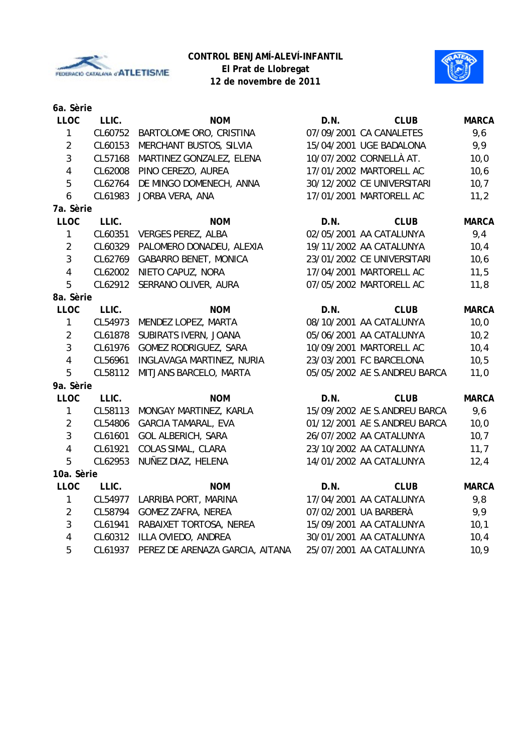



**12 de novembre de 2011**

| 6a. Sèrie        |         |                                 |      |                              |              |
|------------------|---------|---------------------------------|------|------------------------------|--------------|
| <b>LLOC</b>      | LLIC.   | <b>NOM</b>                      | D.N. | <b>CLUB</b>                  | <b>MARCA</b> |
| $\mathbf{1}$     | CL60752 | BARTOLOME ORO, CRISTINA         |      | 07/09/2001 CA CANALETES      | 9,6          |
| $\overline{2}$   | CL60153 | MERCHANT BUSTOS, SILVIA         |      | 15/04/2001 UGE BADALONA      | 9,9          |
| $\mathbf{3}$     | CL57168 | MARTINEZ GONZALEZ, ELENA        |      | 10/07/2002 CORNELLÀ AT.      | 10,0         |
| $\overline{4}$   | CL62008 | PINO CEREZO, AUREA              |      | 17/01/2002 MARTORELL AC      | 10,6         |
| 5                | CL62764 | DE MINGO DOMENECH, ANNA         |      | 30/12/2002 CE UNIVERSITARI   | 10,7         |
| $\boldsymbol{6}$ | CL61983 | JORBA VERA, ANA                 |      | 17/01/2001 MARTORELL AC      | 11,2         |
| 7a. Sèrie        |         |                                 |      |                              |              |
| <b>LLOC</b>      | LLIC.   | <b>NOM</b>                      | D.N. | <b>CLUB</b>                  | <b>MARCA</b> |
| $\mathbf{1}$     | CL60351 | <b>VERGES PEREZ, ALBA</b>       |      | 02/05/2001 AA CATALUNYA      | 9,4          |
| $\overline{2}$   | CL60329 | PALOMERO DONADEU, ALEXIA        |      | 19/11/2002 AA CATALUNYA      | 10,4         |
| 3                | CL62769 | <b>GABARRO BENET, MONICA</b>    |      | 23/01/2002 CE UNIVERSITARI   | 10, 6        |
| $\overline{4}$   | CL62002 | NIETO CAPUZ, NORA               |      | 17/04/2001 MARTORELL AC      | 11,5         |
| 5                | CL62912 | SERRANO OLIVER, AURA            |      | 07/05/2002 MARTORELL AC      | 11,8         |
| 8a. Sèrie        |         |                                 |      |                              |              |
| <b>LLOC</b>      | LLIC.   | <b>NOM</b>                      | D.N. | <b>CLUB</b>                  | <b>MARCA</b> |
| $\mathbf{1}$     | CL54973 | MENDEZ LOPEZ, MARTA             |      | 08/10/2001 AA CATALUNYA      | 10,0         |
| $\overline{2}$   | CL61878 | SUBIRATS IVERN, JOANA           |      | 05/06/2001 AA CATALUNYA      | 10,2         |
| $\mathbf{3}$     | CL61976 | GOMEZ RODRIGUEZ, SARA           |      | 10/09/2001 MARTORELL AC      | 10,4         |
| $\overline{4}$   | CL56961 | INGLAVAGA MARTINEZ, NURIA       |      | 23/03/2001 FC BARCELONA      | 10, 5        |
| 5                | CL58112 | MITJANS BARCELO, MARTA          |      | 05/05/2002 AE S.ANDREU BARCA | 11,0         |
| 9a. Sèrie        |         |                                 |      |                              |              |
| <b>LLOC</b>      | LLIC.   | <b>NOM</b>                      | D.N. | <b>CLUB</b>                  | <b>MARCA</b> |
| $\mathbf{1}$     | CL58113 | MONGAY MARTINEZ, KARLA          |      | 15/09/2002 AE S.ANDREU BARCA | 9,6          |
| $\overline{2}$   | CL54806 | <b>GARCIA TAMARAL, EVA</b>      |      | 01/12/2001 AE S.ANDREU BARCA | 10,0         |
| $\mathfrak{Z}$   | CL61601 | <b>GOL ALBERICH, SARA</b>       |      | 26/07/2002 AA CATALUNYA      | 10,7         |
| $\overline{4}$   | CL61921 | COLAS SIMAL, CLARA              |      | 23/10/2002 AA CATALUNYA      | 11,7         |
| 5                | CL62953 | NUÑEZ DIAZ, HELENA              |      | 14/01/2002 AA CATALUNYA      | 12,4         |
| 10a. Sèrie       |         |                                 |      |                              |              |
| <b>LLOC</b>      | LLIC.   | <b>NOM</b>                      | D.N. | <b>CLUB</b>                  | <b>MARCA</b> |
| $\mathbf{1}$     | CL54977 | LARRIBA PORT, MARINA            |      | 17/04/2001 AA CATALUNYA      | 9,8          |
| $\overline{2}$   | CL58794 | <b>GOMEZ ZAFRA, NEREA</b>       |      | 07/02/2001 UA BARBERÀ        | 9,9          |
| $\mathbf{3}$     | CL61941 | RABAIXET TORTOSA, NEREA         |      | 15/09/2001 AA CATALUNYA      | 10,1         |
| $\overline{4}$   | CL60312 | ILLA OVIEDO, ANDREA             |      | 30/01/2001 AA CATALUNYA      | 10,4         |
| 5                | CL61937 | PEREZ DE ARENAZA GARCIA, AITANA |      | 25/07/2001 AA CATALUNYA      | 10,9         |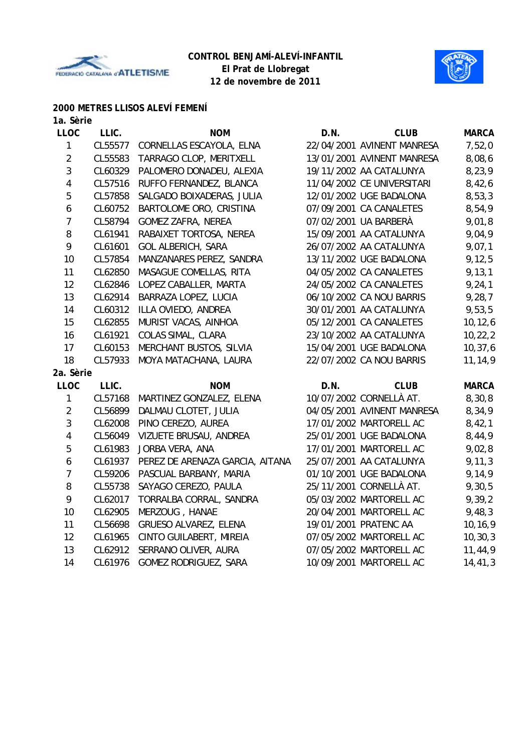



## **2000 METRES LLISOS ALEVÍ FEMENÍ**

|  | 1a. Sèrie |
|--|-----------|
|--|-----------|

| <b>LLOC</b>    | LLIC.   | <b>NOM</b>                      | D.N. | <b>CLUB</b>                | <b>MARCA</b> |
|----------------|---------|---------------------------------|------|----------------------------|--------------|
| 1              | CL55577 | CORNELLAS ESCAYOLA, ELNA        |      | 22/04/2001 AVINENT MANRESA | 7,52,0       |
| $\overline{2}$ | CL55583 | TARRAGO CLOP, MERITXELL         |      | 13/01/2001 AVINENT MANRESA | 8,08,6       |
| 3              | CL60329 | PALOMERO DONADEU, ALEXIA        |      | 19/11/2002 AA CATALUNYA    | 8,23,9       |
| 4              | CL57516 | RUFFO FERNANDEZ, BLANCA         |      | 11/04/2002 CE UNIVERSITARI | 8,42,6       |
| 5              | CL57858 | SALGADO BOIXADERAS, JULIA       |      | 12/01/2002 UGE BADALONA    | 8,53,3       |
| 6              | CL60752 | BARTOLOME ORO, CRISTINA         |      | 07/09/2001 CA CANALETES    | 8,54,9       |
| $\overline{7}$ | CL58794 | <b>GOMEZ ZAFRA, NEREA</b>       |      | 07/02/2001 UA BARBERÀ      | 9,01,8       |
| 8              | CL61941 | RABAIXET TORTOSA, NEREA         |      | 15/09/2001 AA CATALUNYA    | 9,04,9       |
| 9              | CL61601 | <b>GOL ALBERICH, SARA</b>       |      | 26/07/2002 AA CATALUNYA    | 9,07,1       |
| 10             | CL57854 | MANZANARES PEREZ, SANDRA        |      | 13/11/2002 UGE BADALONA    | 9, 12, 5     |
| 11             | CL62850 | MASAGUE COMELLAS, RITA          |      | 04/05/2002 CA CANALETES    | 9, 13, 1     |
| 12             | CL62846 | LOPEZ CABALLER, MARTA           |      | 24/05/2002 CA CANALETES    | 9, 24, 1     |
| 13             | CL62914 | BARRAZA LOPEZ, LUCIA            |      | 06/10/2002 CA NOU BARRIS   | 9,28,7       |
| 14             | CL60312 | ILLA OVIEDO, ANDREA             |      | 30/01/2001 AA CATALUNYA    | 9,53,5       |
| 15             | CL62855 | MURIST VACAS, AINHOA            |      | 05/12/2001 CA CANALETES    | 10, 12, 6    |
| 16             | CL61921 | COLAS SIMAL, CLARA              |      | 23/10/2002 AA CATALUNYA    | 10, 22, 2    |
| 17             | CL60153 | MERCHANT BUSTOS, SILVIA         |      | 15/04/2001 UGE BADALONA    | 10, 37, 6    |
| 18             | CL57933 | MOYA MATACHANA, LAURA           |      | 22/07/2002 CA NOU BARRIS   | 11, 14, 9    |
| 2a. Sèrie      |         |                                 |      |                            |              |
| LLOC           | LLIC.   | <b>NOM</b>                      | D.N. | <b>CLUB</b>                | <b>MARCA</b> |
| 1              | CL57168 | MARTINEZ GONZALEZ, ELENA        |      | 10/07/2002 CORNELLÀ AT.    | 8,30,8       |
| $\overline{2}$ | CL56899 | DALMAU CLOTET, JULIA            |      | 04/05/2001 AVINENT MANRESA | 8,34,9       |
| 3              | CL62008 | PINO CEREZO, AUREA              |      | 17/01/2002 MARTORELL AC    | 8,42,1       |
| 4              | CL56049 | VIZUETE BRUSAU, ANDREA          |      | 25/01/2001 UGE BADALONA    | 8,44,9       |
| 5              | CL61983 | JORBA VERA, ANA                 |      | 17/01/2001 MARTORELL AC    | 9,02,8       |
| 6              | CL61937 | PEREZ DE ARENAZA GARCIA, AITANA |      | 25/07/2001 AA CATALUNYA    | 9, 11, 3     |
| $\overline{7}$ | CL59206 | PASCUAL BARBANY, MARIA          |      | 01/10/2001 UGE BADALONA    | 9,14,9       |
| $\, 8$         | CL55738 | SAYAGO CEREZO, PAULA            |      | 25/11/2001 CORNELLÀ AT.    | 9,30,5       |
| 9              | CL62017 | TORRALBA CORRAL, SANDRA         |      | 05/03/2002 MARTORELL AC    | 9,39,2       |
| 10             | CL62905 | MERZOUG, HANAE                  |      | 20/04/2001 MARTORELL AC    | 9,48,3       |
| 11             | CL56698 | GRUESO ALVAREZ, ELENA           |      | 19/01/2001 PRATENC AA      | 10, 16, 9    |
| 12             | CL61965 | CINTO GUILABERT, MIREIA         |      | 07/05/2002 MARTORELL AC    | 10, 30, 3    |
| 13             | CL62912 | SERRANO OLIVER, AURA            |      | 07/05/2002 MARTORELL AC    | 11,44,9      |
| 14             | CL61976 | GOMEZ RODRIGUEZ, SARA           |      | 10/09/2001 MARTORELL AC    | 14, 41, 3    |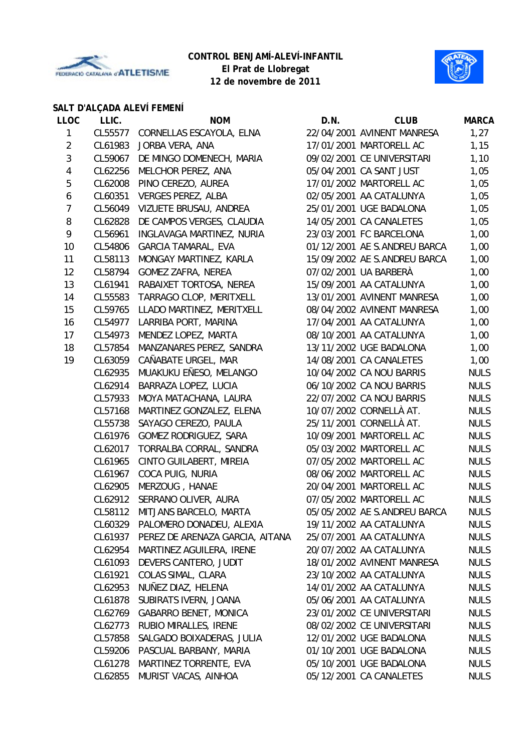



## **SALT D'ALÇADA ALEVÍ FEMENÍ**

| <b>LLOC</b>    | LLIC.   | <b>NOM</b>                       | D.N. | <b>CLUB</b>                  | <b>MARCA</b> |
|----------------|---------|----------------------------------|------|------------------------------|--------------|
| 1              |         | CL55577 CORNELLAS ESCAYOLA, ELNA |      | 22/04/2001 AVINENT MANRESA   | 1,27         |
| $\overline{2}$ | CL61983 | JORBA VERA, ANA                  |      | 17/01/2001 MARTORELL AC      | 1,15         |
| 3              | CL59067 | DE MINGO DOMENECH, MARIA         |      | 09/02/2001 CE UNIVERSITARI   | 1,10         |
| 4              | CL62256 | MELCHOR PEREZ, ANA               |      | 05/04/2001 CA SANT JUST      | 1,05         |
| 5              | CL62008 | PINO CEREZO, AUREA               |      | 17/01/2002 MARTORELL AC      | 1,05         |
| 6              | CL60351 | <b>VERGES PEREZ, ALBA</b>        |      | 02/05/2001 AA CATALUNYA      | 1,05         |
| $\overline{7}$ | CL56049 | VIZUETE BRUSAU, ANDREA           |      | 25/01/2001 UGE BADALONA      | 1,05         |
| 8              | CL62828 | DE CAMPOS VERGES, CLAUDIA        |      | 14/05/2001 CA CANALETES      | 1,05         |
| 9              | CL56961 | INGLAVAGA MARTINEZ, NURIA        |      | 23/03/2001 FC BARCELONA      | 1,00         |
| 10             | CL54806 | <b>GARCIA TAMARAL, EVA</b>       |      | 01/12/2001 AE S.ANDREU BARCA | 1,00         |
| 11             | CL58113 | MONGAY MARTINEZ, KARLA           |      | 15/09/2002 AE S.ANDREU BARCA | 1,00         |
| 12             | CL58794 | <b>GOMEZ ZAFRA, NEREA</b>        |      | 07/02/2001 UA BARBERÀ        | 1,00         |
| 13             | CL61941 | RABAIXET TORTOSA, NEREA          |      | 15/09/2001 AA CATALUNYA      | 1,00         |
| 14             | CL55583 | TARRAGO CLOP, MERITXELL          |      | 13/01/2001 AVINENT MANRESA   | 1,00         |
| 15             | CL59765 | LLADO MARTINEZ, MERITXELL        |      | 08/04/2002 AVINENT MANRESA   | 1,00         |
| 16             | CL54977 | LARRIBA PORT, MARINA             |      | 17/04/2001 AA CATALUNYA      | 1,00         |
| 17             | CL54973 | MENDEZ LOPEZ, MARTA              |      | 08/10/2001 AA CATALUNYA      | 1,00         |
| 18             | CL57854 | MANZANARES PEREZ, SANDRA         |      | 13/11/2002 UGE BADALONA      | 1,00         |
| 19             | CL63059 | CAÑABATE URGEL, MAR              |      | 14/08/2001 CA CANALETES      | 1,00         |
|                | CL62935 | MUAKUKU EÑESO, MELANGO           |      | 10/04/2002 CA NOU BARRIS     | <b>NULS</b>  |
|                | CL62914 | BARRAZA LOPEZ, LUCIA             |      | 06/10/2002 CA NOU BARRIS     | <b>NULS</b>  |
|                | CL57933 | MOYA MATACHANA, LAURA            |      | 22/07/2002 CA NOU BARRIS     | <b>NULS</b>  |
|                | CL57168 | MARTINEZ GONZALEZ, ELENA         |      | 10/07/2002 CORNELLÀ AT.      | <b>NULS</b>  |
|                | CL55738 | SAYAGO CEREZO, PAULA             |      | 25/11/2001 CORNELLÀ AT.      | <b>NULS</b>  |
|                | CL61976 | GOMEZ RODRIGUEZ, SARA            |      | 10/09/2001 MARTORELL AC      | <b>NULS</b>  |
|                | CL62017 | TORRALBA CORRAL, SANDRA          |      | 05/03/2002 MARTORELL AC      | <b>NULS</b>  |
|                | CL61965 | CINTO GUILABERT, MIREIA          |      | 07/05/2002 MARTORELL AC      | <b>NULS</b>  |
|                | CL61967 | COCA PUIG, NURIA                 |      | 08/06/2002 MARTORELL AC      | <b>NULS</b>  |
|                | CL62905 | MERZOUG, HANAE                   |      | 20/04/2001 MARTORELL AC      | <b>NULS</b>  |
|                | CL62912 | SERRANO OLIVER, AURA             |      | 07/05/2002 MARTORELL AC      | <b>NULS</b>  |
|                |         | CL58112 MITJANS BARCELO, MARTA   |      | 05/05/2002 AE S.ANDREU BARCA | <b>NULS</b>  |
|                | CL60329 | PALOMERO DONADEU, ALEXIA         |      | 19/11/2002 AA CATALUNYA      | <b>NULS</b>  |
|                | CL61937 | PEREZ DE ARENAZA GARCIA, AITANA  |      | 25/07/2001 AA CATALUNYA      | <b>NULS</b>  |
|                | CL62954 | MARTINEZ AGUILERA, IRENE         |      | 20/07/2002 AA CATALUNYA      | <b>NULS</b>  |
|                | CL61093 | DEVERS CANTERO, JUDIT            |      | 18/01/2002 AVINENT MANRESA   | <b>NULS</b>  |
|                | CL61921 | COLAS SIMAL, CLARA               |      | 23/10/2002 AA CATALUNYA      | <b>NULS</b>  |
|                | CL62953 | NUÑEZ DIAZ, HELENA               |      | 14/01/2002 AA CATALUNYA      | <b>NULS</b>  |
|                | CL61878 | SUBIRATS IVERN, JOANA            |      | 05/06/2001 AA CATALUNYA      | <b>NULS</b>  |
|                | CL62769 | <b>GABARRO BENET, MONICA</b>     |      | 23/01/2002 CE UNIVERSITARI   | <b>NULS</b>  |
|                | CL62773 | RUBIO MIRALLES, IRENE            |      | 08/02/2002 CE UNIVERSITARI   | <b>NULS</b>  |
|                | CL57858 | SALGADO BOIXADERAS, JULIA        |      | 12/01/2002 UGE BADALONA      | <b>NULS</b>  |
|                | CL59206 | PASCUAL BARBANY, MARIA           |      | 01/10/2001 UGE BADALONA      | <b>NULS</b>  |
|                | CL61278 | MARTINEZ TORRENTE, EVA           |      | 05/10/2001 UGE BADALONA      | <b>NULS</b>  |
|                | CL62855 | MURIST VACAS, AINHOA             |      | 05/12/2001 CA CANALETES      | <b>NULS</b>  |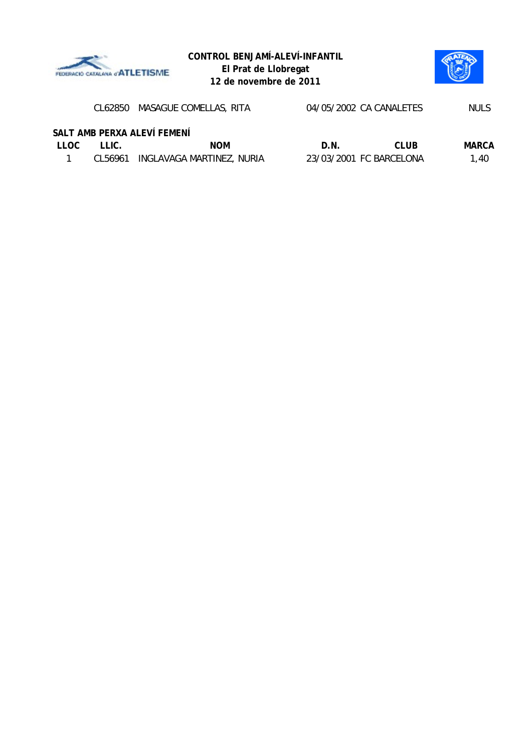



|      |            |                                                                                                    |       | <b>NULS</b>                                        |
|------|------------|----------------------------------------------------------------------------------------------------|-------|----------------------------------------------------|
|      |            |                                                                                                    |       |                                                    |
| THC. | <b>NOM</b> | D.N.                                                                                               | CLUB. | MARCA                                              |
|      |            |                                                                                                    |       | 1.40                                               |
|      |            | CL62850 MASAGUE COMELLAS, RITA<br>SALT AMB PERXA ALEVÍ FEMENÍ<br>CL56961 INGLAVAGA MARTINEZ, NURIA |       | 04/05/2002 CA CANALETES<br>23/03/2001 FC BARCELONA |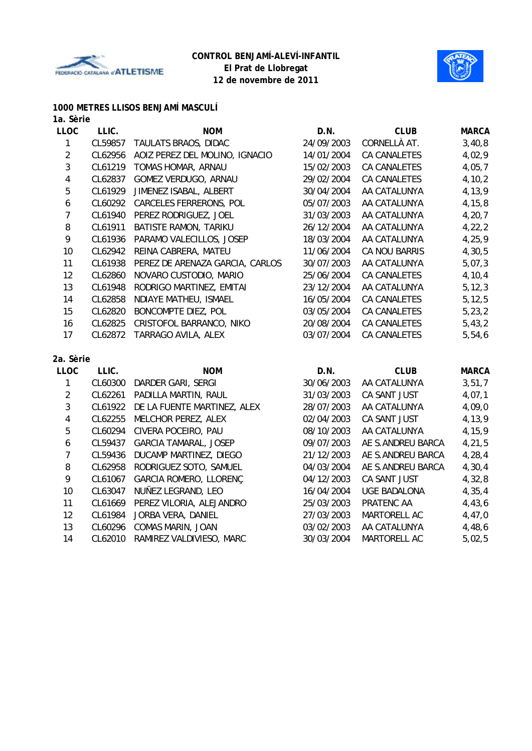



#### **1000 METRES LLISOS BENJAMÍ MASCULÍ**

| 1a. Sèrie               |         |                                 |            |                     |              |
|-------------------------|---------|---------------------------------|------------|---------------------|--------------|
| <b>LLOC</b>             | LLIC.   | <b>NOM</b>                      | D.N.       | <b>CLUB</b>         | <b>MARCA</b> |
| 1                       | CL59857 | TAULATS BRAOS, DIDAC            | 24/09/2003 | CORNELLÀ AT.        | 3,40,8       |
| $\overline{2}$          | CL62956 | AOIZ PEREZ DEL MOLINO, IGNACIO  | 14/01/2004 | CA CANALETES        | 4,02,9       |
| 3                       | CL61219 | TOMAS HOMAR, ARNAU              | 15/02/2003 | CA CANALETES        | 4,05,7       |
| $\overline{\mathbf{4}}$ | CL62837 | GOMEZ VERDUGO, ARNAU            | 29/02/2004 | <b>CA CANALETES</b> | 4, 10, 2     |
| 5                       | CL61929 | JIMENEZ ISABAL, ALBERT          | 30/04/2004 | AA CATALUNYA        | 4,13,9       |
| $\boldsymbol{6}$        | CL60292 | CARCELES FERRERONS, POL         | 05/07/2003 | AA CATALUNYA        | 4, 15, 8     |
| $\overline{7}$          | CL61940 | PEREZ RODRIGUEZ, JOEL           | 31/03/2003 | AA CATALUNYA        | 4, 20, 7     |
| 8                       | CL61911 | BATISTE RAMON, TARIKU           | 26/12/2004 | AA CATALUNYA        | 4,22,2       |
| 9                       | CL61936 | PARAMO VALECILLOS, JOSEP        | 18/03/2004 | AA CATALUNYA        | 4, 25, 9     |
| 10                      | CL62942 | REINA CABRERA, MATEU            | 11/06/2004 | CA NOU BARRIS       | 4,30,5       |
| 11                      | CL61938 | PEREZ DE ARENAZA GARCIA, CARLOS | 30/07/2003 | AA CATALUNYA        | 5,07,3       |
| 12                      | CL62860 | NOVARO CUSTODIO, MARIO          | 25/06/2004 | CA CANALETES        | 4,10,4       |
| 13                      | CL61948 | RODRIGO MARTINEZ, EMITAI        | 23/12/2004 | AA CATALUNYA        | 5, 12, 3     |
| 14                      | CL62858 | NDIAYE MATHEU, ISMAEL           | 16/05/2004 | <b>CA CANALETES</b> | 5, 12, 5     |
| 15                      | CL62820 | BONCOMPTE DIEZ, POL             | 03/05/2004 | CA CANALETES        | 5, 23, 2     |
| 16                      | CL62825 | CRISTOFOL BARRANCO, NIKO        | 20/08/2004 | CA CANALETES        | 5,43,2       |
| 17                      | CL62872 | TARRAGO AVILA, ALEX             | 03/07/2004 | <b>CA CANALETES</b> | 5,54,6       |
| 2a. Sèrie               |         |                                 |            |                     |              |
| <b>LLOC</b>             | LLIC.   | <b>NOM</b>                      | D.N.       | <b>CLUB</b>         | <b>MARCA</b> |
| 1                       | CL60300 | DARDER GARI, SERGI              | 30/06/2003 | AA CATALUNYA        | 3,51,7       |
| $\overline{2}$          | CL62261 | PADILLA MARTIN, RAUL            | 31/03/2003 | CA SANT JUST        | 4,07,1       |
| 3                       | CL61922 | DE LA FUENTE MARTINEZ, ALEX     | 28/07/2003 | AA CATALUNYA        | 4,09,0       |
| 4                       | CL62255 | MELCHOR PEREZ, ALEX             | 02/04/2003 | CA SANT JUST        | 4,13,9       |
| $\overline{5}$          | CL60294 | CIVERA POCEIRO, PAU             | 08/10/2003 | AA CATALUNYA        | 4,15,9       |
| 6                       | CL59437 | GARCIA TAMARAL, JOSEP           | 09/07/2003 | AE S.ANDREU BARCA   | 4,21,5       |
| $\overline{7}$          | CL59436 | DUCAMP MARTINEZ, DIEGO          | 21/12/2003 | AE S.ANDREU BARCA   | 4, 28, 4     |
| 8                       | CL62958 | RODRIGUEZ SOTO, SAMUEL          | 04/03/2004 | AE S.ANDREU BARCA   | 4,30,4       |
| 9                       | CL61067 | <b>GARCIA ROMERO, LLORENC</b>   | 04/12/2003 | CA SANT JUST        | 4,32,8       |

10 CL63047 NUÑEZ LEGRAND, LEO 16/04/2004 UGE BADALONA 4,35,4 11 CL61669 PEREZ VILORIA, ALEJANDRO 25/03/2003 PRATENC AA 4,43,6 12 CL61984 JORBA VERA, DANIEL 27/03/2003 MARTORELL AC 4,47,0 13 CL60296 COMAS MARIN, JOAN 03/02/2003 AA CATALUNYA 4,48,6 14 CL62010 RAMIREZ VALDIVIESO, MARC 30/03/2004 MARTORELL AC 5,02,5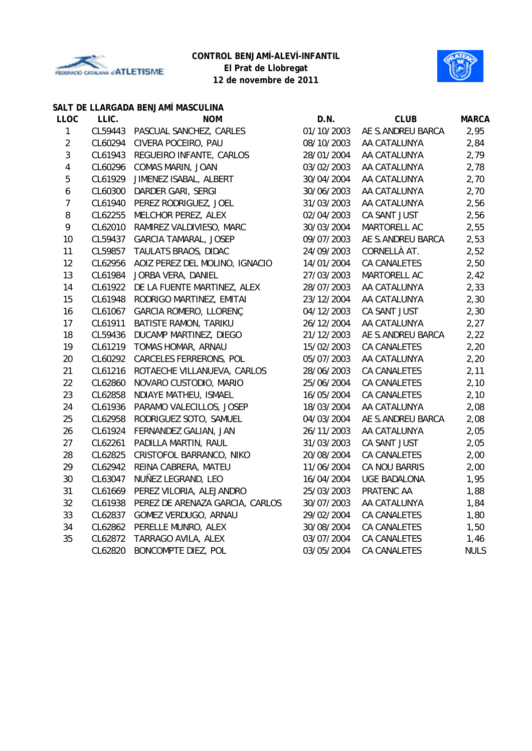



#### **SALT DE LLARGADA BENJAMÍ MASCULINA**

| <b>LLOC</b>      | LLIC.   | <b>NOM</b>                      | D.N.       | <b>CLUB</b>         | <b>MARCA</b> |
|------------------|---------|---------------------------------|------------|---------------------|--------------|
| $\mathbf{1}$     | CL59443 | PASCUAL SANCHEZ, CARLES         | 01/10/2003 | AE S.ANDREU BARCA   | 2,95         |
| $\overline{2}$   | CL60294 | CIVERA POCEIRO, PAU             | 08/10/2003 | AA CATALUNYA        | 2,84         |
| 3                | CL61943 | REGUEIRO INFANTE, CARLOS        | 28/01/2004 | AA CATALUNYA        | 2,79         |
| $\pmb{4}$        | CL60296 | COMAS MARIN, JOAN               | 03/02/2003 | AA CATALUNYA        | 2,78         |
| 5                | CL61929 | JIMENEZ ISABAL, ALBERT          | 30/04/2004 | AA CATALUNYA        | 2,70         |
| $\boldsymbol{6}$ | CL60300 | DARDER GARI, SERGI              | 30/06/2003 | AA CATALUNYA        | 2,70         |
| $\overline{7}$   | CL61940 | PEREZ RODRIGUEZ, JOEL           | 31/03/2003 | AA CATALUNYA        | 2,56         |
| 8                | CL62255 | MELCHOR PEREZ, ALEX             | 02/04/2003 | CA SANT JUST        | 2,56         |
| 9                | CL62010 | RAMIREZ VALDIVIESO, MARC        | 30/03/2004 | MARTORELL AC        | 2,55         |
| 10               | CL59437 | <b>GARCIA TAMARAL, JOSEP</b>    | 09/07/2003 | AE S.ANDREU BARCA   | 2,53         |
| 11               | CL59857 | TAULATS BRAOS, DIDAC            | 24/09/2003 | CORNELLÀ AT.        | 2,52         |
| 12               | CL62956 | AOIZ PEREZ DEL MOLINO, IGNACIO  | 14/01/2004 | CA CANALETES        | 2,50         |
| 13               | CL61984 | JORBA VERA, DANIEL              | 27/03/2003 | MARTORELL AC        | 2,42         |
| 14               | CL61922 | DE LA FUENTE MARTINEZ, ALEX     | 28/07/2003 | AA CATALUNYA        | 2,33         |
| 15               | CL61948 | RODRIGO MARTINEZ, EMITAI        | 23/12/2004 | AA CATALUNYA        | 2,30         |
| 16               | CL61067 | GARCIA ROMERO, LLORENÇ          | 04/12/2003 | CA SANT JUST        | 2,30         |
| 17               | CL61911 | BATISTE RAMON, TARIKU           | 26/12/2004 | AA CATALUNYA        | 2,27         |
| 18               | CL59436 | DUCAMP MARTINEZ, DIEGO          | 21/12/2003 | AE S.ANDREU BARCA   | 2,22         |
| 19               | CL61219 | TOMAS HOMAR, ARNAU              | 15/02/2003 | CA CANALETES        | 2,20         |
| 20               | CL60292 | <b>CARCELES FERRERONS, POL</b>  | 05/07/2003 | AA CATALUNYA        | 2,20         |
| 21               | CL61216 | ROTAECHE VILLANUEVA, CARLOS     | 28/06/2003 | CA CANALETES        | 2,11         |
| 22               | CL62860 | NOVARO CUSTODIO, MARIO          | 25/06/2004 | CA CANALETES        | 2,10         |
| 23               | CL62858 | NDIAYE MATHEU, ISMAEL           | 16/05/2004 | CA CANALETES        | 2,10         |
| 24               | CL61936 | PARAMO VALECILLOS, JOSEP        | 18/03/2004 | AA CATALUNYA        | 2,08         |
| 25               | CL62958 | RODRIGUEZ SOTO, SAMUEL          | 04/03/2004 | AE S.ANDREU BARCA   | 2,08         |
| 26               | CL61924 | FERNANDEZ GALIAN, JAN           | 26/11/2003 | AA CATALUNYA        | 2,05         |
| 27               | CL62261 | PADILLA MARTIN, RAUL            | 31/03/2003 | CA SANT JUST        | 2,05         |
| 28               | CL62825 | CRISTOFOL BARRANCO, NIKO        | 20/08/2004 | CA CANALETES        | 2,00         |
| 29               | CL62942 | REINA CABRERA, MATEU            | 11/06/2004 | CA NOU BARRIS       | 2,00         |
| 30               | CL63047 | NUÑEZ LEGRAND, LEO              | 16/04/2004 | <b>UGE BADALONA</b> | 1,95         |
| 31               | CL61669 | PEREZ VILORIA, ALEJANDRO        | 25/03/2003 | PRATENC AA          | 1,88         |
| 32               | CL61938 | PEREZ DE ARENAZA GARCIA, CARLOS | 30/07/2003 | AA CATALUNYA        | 1,84         |
| 33               | CL62837 | GOMEZ VERDUGO, ARNAU            | 29/02/2004 | CA CANALETES        | 1,80         |
| 34               | CL62862 | PERELLE MUNRO, ALEX             | 30/08/2004 | CA CANALETES        | 1,50         |
| 35               | CL62872 | TARRAGO AVILA, ALEX             | 03/07/2004 | CA CANALETES        | 1,46         |
|                  | CL62820 | BONCOMPTE DIEZ, POL             | 03/05/2004 | <b>CA CANALETES</b> | <b>NULS</b>  |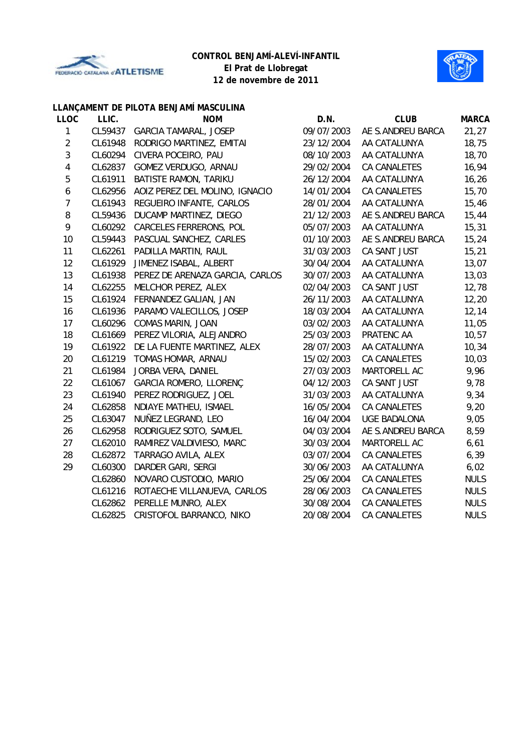



## **LLANÇAMENT DE PILOTA BENJAMÍ MASCULINA**

| <b>LLOC</b>      | LLIC.   | <b>NOM</b>                      | D.N.       | <b>CLUB</b>         | <b>MARCA</b> |
|------------------|---------|---------------------------------|------------|---------------------|--------------|
| 1                | CL59437 | <b>GARCIA TAMARAL, JOSEP</b>    | 09/07/2003 | AE S.ANDREU BARCA   | 21,27        |
| $\overline{2}$   | CL61948 | RODRIGO MARTINEZ, EMITAI        | 23/12/2004 | AA CATALUNYA        | 18,75        |
| 3                | CL60294 | CIVERA POCEIRO, PAU             | 08/10/2003 | AA CATALUNYA        | 18,70        |
| $\pmb{4}$        | CL62837 | GOMEZ VERDUGO, ARNAU            | 29/02/2004 | CA CANALETES        | 16,94        |
| $\mathbf 5$      | CL61911 | BATISTE RAMON, TARIKU           | 26/12/2004 | AA CATALUNYA        | 16, 26       |
| $\boldsymbol{6}$ | CL62956 | AOIZ PEREZ DEL MOLINO, IGNACIO  | 14/01/2004 | CA CANALETES        | 15,70        |
| $\overline{7}$   | CL61943 | REGUEIRO INFANTE, CARLOS        | 28/01/2004 | AA CATALUNYA        | 15,46        |
| 8                | CL59436 | DUCAMP MARTINEZ, DIEGO          | 21/12/2003 | AE S.ANDREU BARCA   | 15,44        |
| 9                | CL60292 | CARCELES FERRERONS, POL         | 05/07/2003 | AA CATALUNYA        | 15, 31       |
| 10               | CL59443 | PASCUAL SANCHEZ, CARLES         | 01/10/2003 | AE S.ANDREU BARCA   | 15,24        |
| 11               | CL62261 | PADILLA MARTIN, RAUL            | 31/03/2003 | CA SANT JUST        | 15,21        |
| 12               | CL61929 | JIMENEZ ISABAL, ALBERT          | 30/04/2004 | AA CATALUNYA        | 13,07        |
| 13               | CL61938 | PEREZ DE ARENAZA GARCIA, CARLOS | 30/07/2003 | AA CATALUNYA        | 13,03        |
| 14               | CL62255 | MELCHOR PEREZ, ALEX             | 02/04/2003 | CA SANT JUST        | 12,78        |
| 15               | CL61924 | FERNANDEZ GALIAN, JAN           | 26/11/2003 | AA CATALUNYA        | 12,20        |
| 16               | CL61936 | PARAMO VALECILLOS, JOSEP        | 18/03/2004 | AA CATALUNYA        | 12, 14       |
| 17               | CL60296 | COMAS MARIN, JOAN               | 03/02/2003 | AA CATALUNYA        | 11,05        |
| 18               | CL61669 | PEREZ VILORIA, ALEJANDRO        | 25/03/2003 | PRATENC AA          | 10,57        |
| 19               | CL61922 | DE LA FUENTE MARTINEZ, ALEX     | 28/07/2003 | AA CATALUNYA        | 10,34        |
| 20               | CL61219 | TOMAS HOMAR, ARNAU              | 15/02/2003 | CA CANALETES        | 10,03        |
| 21               | CL61984 | JORBA VERA, DANIEL              | 27/03/2003 | MARTORELL AC        | 9,96         |
| 22               | CL61067 | GARCIA ROMERO, LLORENÇ          | 04/12/2003 | CA SANT JUST        | 9,78         |
| 23               | CL61940 | PEREZ RODRIGUEZ, JOEL           | 31/03/2003 | AA CATALUNYA        | 9,34         |
| 24               | CL62858 | NDIAYE MATHEU, ISMAEL           | 16/05/2004 | CA CANALETES        | 9,20         |
| 25               | CL63047 | NUÑEZ LEGRAND, LEO              | 16/04/2004 | <b>UGE BADALONA</b> | 9,05         |
| 26               | CL62958 | RODRIGUEZ SOTO, SAMUEL          | 04/03/2004 | AE S.ANDREU BARCA   | 8,59         |
| 27               | CL62010 | RAMIREZ VALDIVIESO, MARC        | 30/03/2004 | MARTORELL AC        | 6,61         |
| 28               | CL62872 | TARRAGO AVILA, ALEX             | 03/07/2004 | <b>CA CANALETES</b> | 6, 39        |
| 29               | CL60300 | DARDER GARI, SERGI              | 30/06/2003 | AA CATALUNYA        | 6,02         |
|                  | CL62860 | NOVARO CUSTODIO, MARIO          | 25/06/2004 | CA CANALETES        | <b>NULS</b>  |
|                  | CL61216 | ROTAECHE VILLANUEVA, CARLOS     | 28/06/2003 | CA CANALETES        | <b>NULS</b>  |
|                  | CL62862 | PERELLE MUNRO, ALEX             | 30/08/2004 | <b>CA CANALETES</b> | <b>NULS</b>  |
|                  | CL62825 | CRISTOFOL BARRANCO, NIKO        | 20/08/2004 | <b>CA CANALETES</b> | <b>NULS</b>  |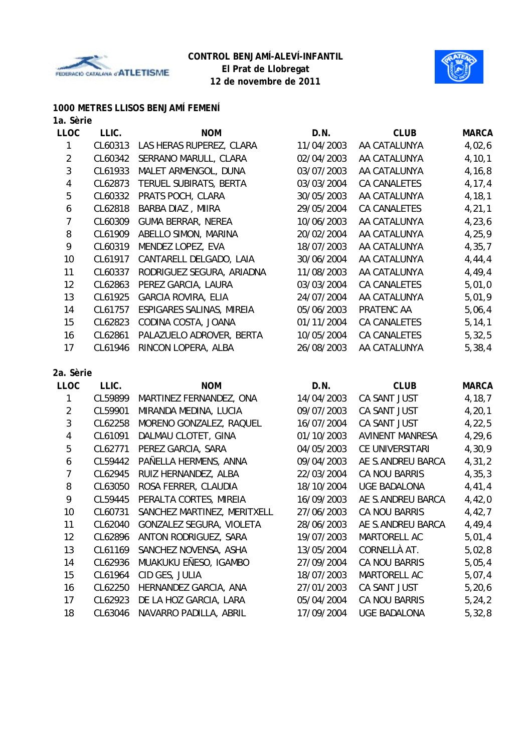



## **1000 METRES LLISOS BENJAMÍ FEMENÍ**

|  |  | 1a. Sèrie |
|--|--|-----------|
|--|--|-----------|

| <b>LLOC</b>    | LLIC.   | <b>NOM</b>                 | D.N.       | <b>CLUB</b>  | <b>MARCA</b> |
|----------------|---------|----------------------------|------------|--------------|--------------|
| 1              | CL60313 | LAS HERAS RUPEREZ, CLARA   | 11/04/2003 | AA CATALUNYA | 4,02,6       |
| $\overline{2}$ | CL60342 | SERRANO MARULL, CLARA      | 02/04/2003 | AA CATALUNYA | 4, 10, 1     |
| 3              | CL61933 | MALET ARMENGOL, DUNA       | 03/07/2003 | AA CATALUNYA | 4,16,8       |
| 4              | CL62873 | TERUEL SUBIRATS, BERTA     | 03/03/2004 | CA CANALETES | 4, 17, 4     |
| 5              | CL60332 | PRATS POCH, CLARA          | 30/05/2003 | AA CATALUNYA | 4, 18, 1     |
| 6              | CL62818 | BARBA DIAZ, MIIRA          | 29/05/2004 | CA CANALETES | 4, 21, 1     |
| 7              | CL60309 | <b>GUMA BERRAR, NEREA</b>  | 10/06/2003 | AA CATALUNYA | 4,23,6       |
| 8              | CL61909 | ABELLO SIMON, MARINA       | 20/02/2004 | AA CATALUNYA | 4,25,9       |
| 9              | CL60319 | MENDEZ LOPEZ, EVA          | 18/07/2003 | AA CATALUNYA | 4, 35, 7     |
| 10             | CL61917 | CANTARELL DELGADO, LAIA    | 30/06/2004 | AA CATALUNYA | 4,44,4       |
| 11             | CL60337 | RODRIGUEZ SEGURA, ARIADNA  | 11/08/2003 | AA CATALUNYA | 4,49,4       |
| 12             | CL62863 | PEREZ GARCIA, LAURA        | 03/03/2004 | CA CANALETES | 5,01,0       |
| 13             | CL61925 | <b>GARCIA ROVIRA, ELIA</b> | 24/07/2004 | AA CATALUNYA | 5,01,9       |
| 14             | CL61757 | ESPIGARES SALINAS, MIREIA  | 05/06/2003 | PRATENC AA   | 5,06,4       |
| 15             | CL62823 | CODINA COSTA, JOANA        | 01/11/2004 | CA CANALETES | 5, 14, 1     |
| 16             | CL62861 | PALAZUELO ADROVER, BERTA   | 10/05/2004 | CA CANALETES | 5,32,5       |
| 17             | CL61946 | RINCON LOPERA, ALBA        | 26/08/2003 | AA CATALUNYA | 5, 38, 4     |
| 2a. Sèrie      |         |                            |            |              |              |
| <b>LLOC</b>    | LLIC.   | <b>NOM</b>                 | D.N.       | <b>CLUB</b>  | <b>MARCA</b> |
| 1              | CL59899 | MARTINEZ FERNANDEZ, ONA    | 14/04/2003 | CA SANT JUST | 4,18,7       |
| $\overline{2}$ | CL59901 | MIRANDA MEDINA, LUCIA      | 09/07/2003 | CA SANT JUST | 4, 20, 1     |

| CL59901 | MIRANDA MEDINA, LUCIA       | 09/07/2003 | CA SANT JUST           | 4, 20, 1 |
|---------|-----------------------------|------------|------------------------|----------|
| CL62258 | MORENO GONZALEZ, RAQUEL     | 16/07/2004 | CA SANT JUST           | 4,22,5   |
| CL61091 | DALMAU CLOTET, GINA         | 01/10/2003 | <b>AVINENT MANRESA</b> | 4,29,6   |
| CL62771 | PEREZ GARCIA, SARA          | 04/05/2003 | CE UNIVERSITARI        | 4,30,9   |
| CL59442 | PAÑELLA HERMENS, ANNA       | 09/04/2003 | AE S.ANDREU BARCA      | 4,31,2   |
| CL62945 | RUIZ HERNANDEZ, ALBA        | 22/03/2004 | CA NOU BARRIS          | 4, 35, 3 |
| CL63050 | ROSA FERRER, CLAUDIA        | 18/10/2004 | <b>UGE BADALONA</b>    | 4,41,4   |
| CL59445 | PERALTA CORTES, MIREIA      | 16/09/2003 | AE S.ANDREU BARCA      | 4,42,0   |
| CL60731 | SANCHEZ MARTINEZ, MERITXELL | 27/06/2003 | <b>CA NOU BARRIS</b>   | 4,42,7   |
| CL62040 | GONZALEZ SEGURA, VIOLETA    | 28/06/2003 | AE S.ANDREU BARCA      | 4,49,4   |
| CL62896 | ANTON RODRIGUEZ, SARA       | 19/07/2003 | <b>MARTORELL AC</b>    | 5,01,4   |
| CL61169 | SANCHEZ NOVENSA, ASHA       | 13/05/2004 | CORNELLÀ AT.           | 5,02,8   |
| CL62936 | MUAKUKU EÑESO, IGAMBO       | 27/09/2004 | CA NOU BARRIS          | 5,05,4   |
| CL61964 | CID GES, JULIA              | 18/07/2003 | MARTORELL AC           | 5,07,4   |
| CL62250 | HERNANDEZ GARCIA, ANA       | 27/01/2003 | CA SANT JUST           | 5,20,6   |
| CL62923 | DE LA HOZ GARCIA, LARA      | 05/04/2004 | <b>CA NOU BARRIS</b>   | 5, 24, 2 |
| CL63046 | NAVARRO PADILLA, ABRIL      | 17/09/2004 | <b>UGE BADALONA</b>    | 5,32,8   |
|         |                             |            |                        |          |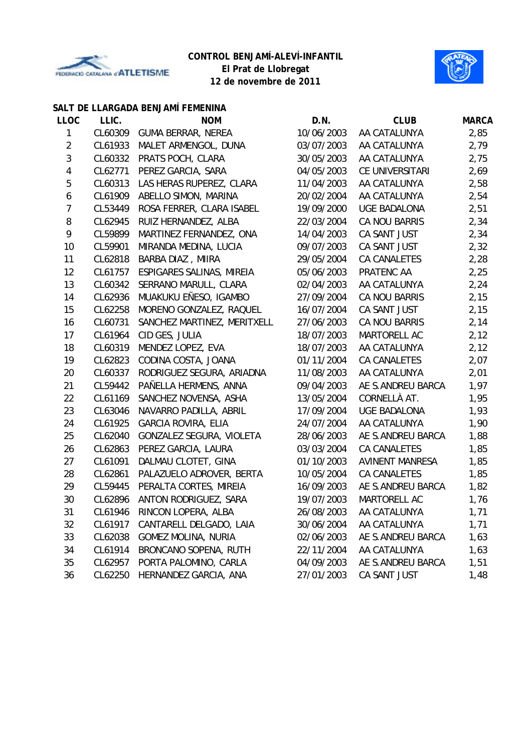



### **SALT DE LLARGADA BENJAMÍ FEMENINA**

| <b>LLOC</b>    | LLIC.   | <b>NOM</b>                  | D.N.       | <b>CLUB</b>            | <b>MARCA</b> |
|----------------|---------|-----------------------------|------------|------------------------|--------------|
| 1              | CL60309 | <b>GUMA BERRAR, NEREA</b>   | 10/06/2003 | AA CATALUNYA           | 2,85         |
| $\overline{2}$ | CL61933 | MALET ARMENGOL, DUNA        | 03/07/2003 | AA CATALUNYA           | 2,79         |
| 3              | CL60332 | PRATS POCH, CLARA           | 30/05/2003 | AA CATALUNYA           | 2,75         |
| 4              | CL62771 | PEREZ GARCIA, SARA          | 04/05/2003 | CE UNIVERSITARI        | 2,69         |
| 5              | CL60313 | LAS HERAS RUPEREZ, CLARA    | 11/04/2003 | AA CATALUNYA           | 2,58         |
| 6              | CL61909 | ABELLO SIMON, MARINA        | 20/02/2004 | AA CATALUNYA           | 2,54         |
| 7              | CL53449 | ROSA FERRER, CLARA ISABEL   | 19/09/2000 | <b>UGE BADALONA</b>    | 2,51         |
| 8              | CL62945 | RUIZ HERNANDEZ, ALBA        | 22/03/2004 | CA NOU BARRIS          | 2,34         |
| 9              | CL59899 | MARTINEZ FERNANDEZ, ONA     | 14/04/2003 | CA SANT JUST           | 2,34         |
| 10             | CL59901 | MIRANDA MEDINA, LUCIA       | 09/07/2003 | CA SANT JUST           | 2,32         |
| 11             | CL62818 | BARBA DIAZ, MIIRA           | 29/05/2004 | CA CANALETES           | 2,28         |
| 12             | CL61757 | ESPIGARES SALINAS, MIREIA   | 05/06/2003 | PRATENC AA             | 2,25         |
| 13             | CL60342 | SERRANO MARULL, CLARA       | 02/04/2003 | AA CATALUNYA           | 2,24         |
| 14             | CL62936 | MUAKUKU EÑESO, IGAMBO       | 27/09/2004 | CA NOU BARRIS          | 2,15         |
| 15             | CL62258 | MORENO GONZALEZ, RAQUEL     | 16/07/2004 | CA SANT JUST           | 2,15         |
| 16             | CL60731 | SANCHEZ MARTINEZ, MERITXELL | 27/06/2003 | <b>CA NOU BARRIS</b>   | 2,14         |
| 17             | CL61964 | CID GES, JULIA              | 18/07/2003 | MARTORELL AC           | 2,12         |
| 18             | CL60319 | MENDEZ LOPEZ, EVA           | 18/07/2003 | AA CATALUNYA           | 2,12         |
| 19             | CL62823 | CODINA COSTA, JOANA         | 01/11/2004 | <b>CA CANALETES</b>    | 2,07         |
| 20             | CL60337 | RODRIGUEZ SEGURA, ARIADNA   | 11/08/2003 | AA CATALUNYA           | 2,01         |
| 21             | CL59442 | PAÑELLA HERMENS, ANNA       | 09/04/2003 | AE S.ANDREU BARCA      | 1,97         |
| 22             | CL61169 | SANCHEZ NOVENSA, ASHA       | 13/05/2004 | CORNELLÀ AT.           | 1,95         |
| 23             | CL63046 | NAVARRO PADILLA, ABRIL      | 17/09/2004 | <b>UGE BADALONA</b>    | 1,93         |
| 24             | CL61925 | <b>GARCIA ROVIRA, ELIA</b>  | 24/07/2004 | AA CATALUNYA           | 1,90         |
| 25             | CL62040 | GONZALEZ SEGURA, VIOLETA    | 28/06/2003 | AE S.ANDREU BARCA      | 1,88         |
| 26             | CL62863 | PEREZ GARCIA, LAURA         | 03/03/2004 | CA CANALETES           | 1,85         |
| 27             | CL61091 | DALMAU CLOTET, GINA         | 01/10/2003 | <b>AVINENT MANRESA</b> | 1,85         |
| 28             | CL62861 | PALAZUELO ADROVER, BERTA    | 10/05/2004 | <b>CA CANALETES</b>    | 1,85         |
| 29             | CL59445 | PERALTA CORTES, MIREIA      | 16/09/2003 | AE S.ANDREU BARCA      | 1,82         |
| 30             | CL62896 | ANTON RODRIGUEZ, SARA       | 19/07/2003 | MARTORELL AC           | 1,76         |
| 31             | CL61946 | RINCON LOPERA, ALBA         | 26/08/2003 | AA CATALUNYA           | 1,71         |
| 32             | CL61917 | CANTARELL DELGADO, LAIA     | 30/06/2004 | AA CATALUNYA           | 1,71         |
| 33             | CL62038 | <b>GOMEZ MOLINA, NURIA</b>  | 02/06/2003 | AE S.ANDREU BARCA      | 1,63         |
| 34             | CL61914 | BRONCANO SOPENA, RUTH       | 22/11/2004 | AA CATALUNYA           | 1,63         |
| 35             | CL62957 | PORTA PALOMINO, CARLA       | 04/09/2003 | AE S.ANDREU BARCA      | 1,51         |
| 36             | CL62250 | HERNANDEZ GARCIA, ANA       | 27/01/2003 | CA SANT JUST           | 1,48         |